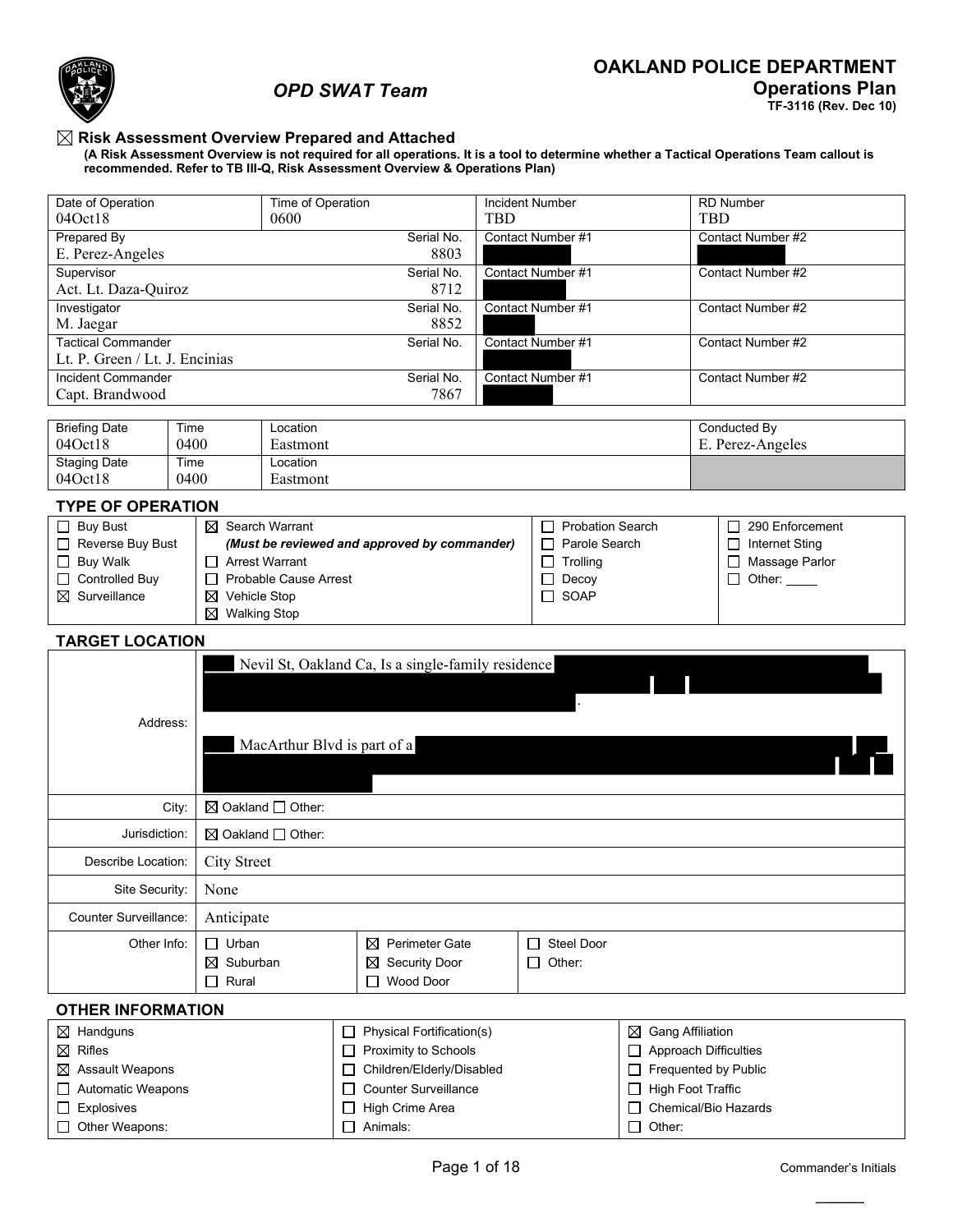

□ Automatic Weapons

**Explosives** Other Weapons:

# *OPD SWAT Team*

**TF-3116 (Rev. Dec 10)**

### **Risk Assessment Overview Prepared and Attached**

**(A Risk Assessment Overview is not required for all operations. It is a tool to determine whether a Tactical Operations Team callout is recommended. Refer to TB III-Q, Risk Assessment Overview & Operations Plan)**

| Date of Operation<br>04Oct18                                                                   |                                                        | Time of Operation<br>0600                          |                            | <b>Incident Number</b><br><b>TBD</b> |                                     |                              | <b>RD Number</b><br><b>TBD</b> |  |  |
|------------------------------------------------------------------------------------------------|--------------------------------------------------------|----------------------------------------------------|----------------------------|--------------------------------------|-------------------------------------|------------------------------|--------------------------------|--|--|
| <b>Prepared By</b>                                                                             |                                                        |                                                    | Serial No.                 |                                      | Contact Number #1                   |                              | Contact Number #2              |  |  |
| E. Perez-Angeles                                                                               |                                                        |                                                    | 8803                       |                                      |                                     |                              |                                |  |  |
| Supervisor                                                                                     |                                                        |                                                    | Serial No.                 |                                      | Contact Number #1                   |                              | Contact Number #2              |  |  |
| Act. Lt. Daza-Quiroz                                                                           |                                                        |                                                    | 8712                       |                                      |                                     |                              |                                |  |  |
| Investigator                                                                                   |                                                        |                                                    | Serial No.                 |                                      | Contact Number #1                   |                              | Contact Number #2              |  |  |
| M. Jaegar                                                                                      |                                                        |                                                    | 8852                       |                                      |                                     |                              |                                |  |  |
| <b>Tactical Commander</b><br>Serial No.<br>Contact Number #1<br>Lt. P. Green / Lt. J. Encinias |                                                        |                                                    |                            |                                      |                                     |                              | Contact Number #2              |  |  |
| <b>Incident Commander</b>                                                                      |                                                        |                                                    | Serial No.                 |                                      | Contact Number #1                   |                              | Contact Number #2              |  |  |
| Capt. Brandwood                                                                                |                                                        |                                                    | 7867                       |                                      |                                     |                              |                                |  |  |
|                                                                                                |                                                        |                                                    |                            |                                      |                                     |                              |                                |  |  |
| <b>Briefing Date</b>                                                                           | Time                                                   | Location                                           |                            |                                      |                                     |                              | Conducted By                   |  |  |
| 04Oct18                                                                                        | 0400                                                   | Eastmont                                           |                            |                                      |                                     |                              | E. Perez-Angeles               |  |  |
| <b>Staging Date</b>                                                                            | Time                                                   | Location                                           |                            |                                      |                                     |                              |                                |  |  |
| 040ct18                                                                                        | 0400                                                   | Eastmont                                           |                            |                                      |                                     |                              |                                |  |  |
| <b>TYPE OF OPERATION</b>                                                                       |                                                        |                                                    |                            |                                      |                                     |                              |                                |  |  |
| $\Box$ Buy Bust                                                                                | $\boxtimes$ Search Warrant                             |                                                    |                            |                                      | <b>Probation Search</b><br>$\sqcup$ |                              | 290 Enforcement<br>$\Box$      |  |  |
| Reverse Buy Bust                                                                               |                                                        | (Must be reviewed and approved by commander)       |                            |                                      | Parole Search                       |                              | □ Internet Sting               |  |  |
| $\Box$ Buy Walk                                                                                | □ Arrest Warrant                                       |                                                    |                            | □ Massage Parlor                     |                                     |                              |                                |  |  |
| Controlled Buy                                                                                 | Trolling<br><b>Probable Cause Arrest</b><br>□<br>Decoy |                                                    |                            |                                      |                                     |                              | $\Box$ Other:                  |  |  |
| $\boxtimes$ Surveillance<br>SOAP<br>$\boxtimes$ Vehicle Stop<br>П                              |                                                        |                                                    |                            |                                      |                                     |                              |                                |  |  |
| <b>Walking Stop</b><br>⊠                                                                       |                                                        |                                                    |                            |                                      |                                     |                              |                                |  |  |
| <b>TARGET LOCATION</b>                                                                         |                                                        |                                                    |                            |                                      |                                     |                              |                                |  |  |
|                                                                                                |                                                        | Nevil St, Oakland Ca, Is a single-family residence |                            |                                      |                                     |                              |                                |  |  |
|                                                                                                |                                                        |                                                    |                            |                                      |                                     |                              |                                |  |  |
|                                                                                                |                                                        |                                                    |                            |                                      |                                     |                              |                                |  |  |
| Address:                                                                                       |                                                        |                                                    |                            |                                      |                                     |                              |                                |  |  |
|                                                                                                |                                                        | MacArthur Blvd is part of a                        |                            |                                      |                                     |                              |                                |  |  |
|                                                                                                |                                                        |                                                    |                            |                                      |                                     |                              |                                |  |  |
|                                                                                                |                                                        |                                                    |                            |                                      |                                     |                              |                                |  |  |
|                                                                                                | City:                                                  | $\boxtimes$ Oakland $\Box$ Other:                  |                            |                                      |                                     |                              |                                |  |  |
| Jurisdiction:                                                                                  |                                                        | $\boxtimes$ Oakland $\Box$ Other:                  |                            |                                      |                                     |                              |                                |  |  |
| Describe Location:                                                                             | <b>City Street</b>                                     |                                                    |                            |                                      |                                     |                              |                                |  |  |
| Site Security:                                                                                 | None                                                   |                                                    |                            |                                      |                                     |                              |                                |  |  |
| Counter Surveillance:                                                                          | Anticipate                                             |                                                    |                            |                                      |                                     |                              |                                |  |  |
|                                                                                                |                                                        |                                                    |                            |                                      |                                     |                              |                                |  |  |
| Other Info:                                                                                    | $\Box$ Urban                                           |                                                    | $\boxtimes$ Perimeter Gate |                                      | <b>Steel Door</b><br>U              |                              |                                |  |  |
|                                                                                                | $\boxtimes$ Suburban                                   | ⊠                                                  | <b>Security Door</b>       |                                      | Other:<br>ப                         |                              |                                |  |  |
|                                                                                                | Rural<br>$\Box$                                        |                                                    | □ Wood Door                |                                      |                                     |                              |                                |  |  |
| <b>OTHER INFORMATION</b>                                                                       |                                                        |                                                    |                            |                                      |                                     |                              |                                |  |  |
| $\boxtimes$ Handguns                                                                           |                                                        | $\Box$                                             | Physical Fortification(s)  |                                      |                                     | <b>Gang Affiliation</b><br>⊠ |                                |  |  |
| Rifles<br>⊠                                                                                    |                                                        | ப                                                  | Proximity to Schools       |                                      |                                     | <b>Approach Difficulties</b> |                                |  |  |
| Assault Weapons<br>⊠                                                                           |                                                        |                                                    | Children/Elderly/Disabled  |                                      |                                     | Frequented by Public         |                                |  |  |
|                                                                                                |                                                        |                                                    |                            |                                      |                                     |                              |                                |  |  |

Counter Surveillance  $\Box$  High Crime Area □ Animals:

 $\Box$  High Foot Traffic Chemical/Bio Hazards

Other: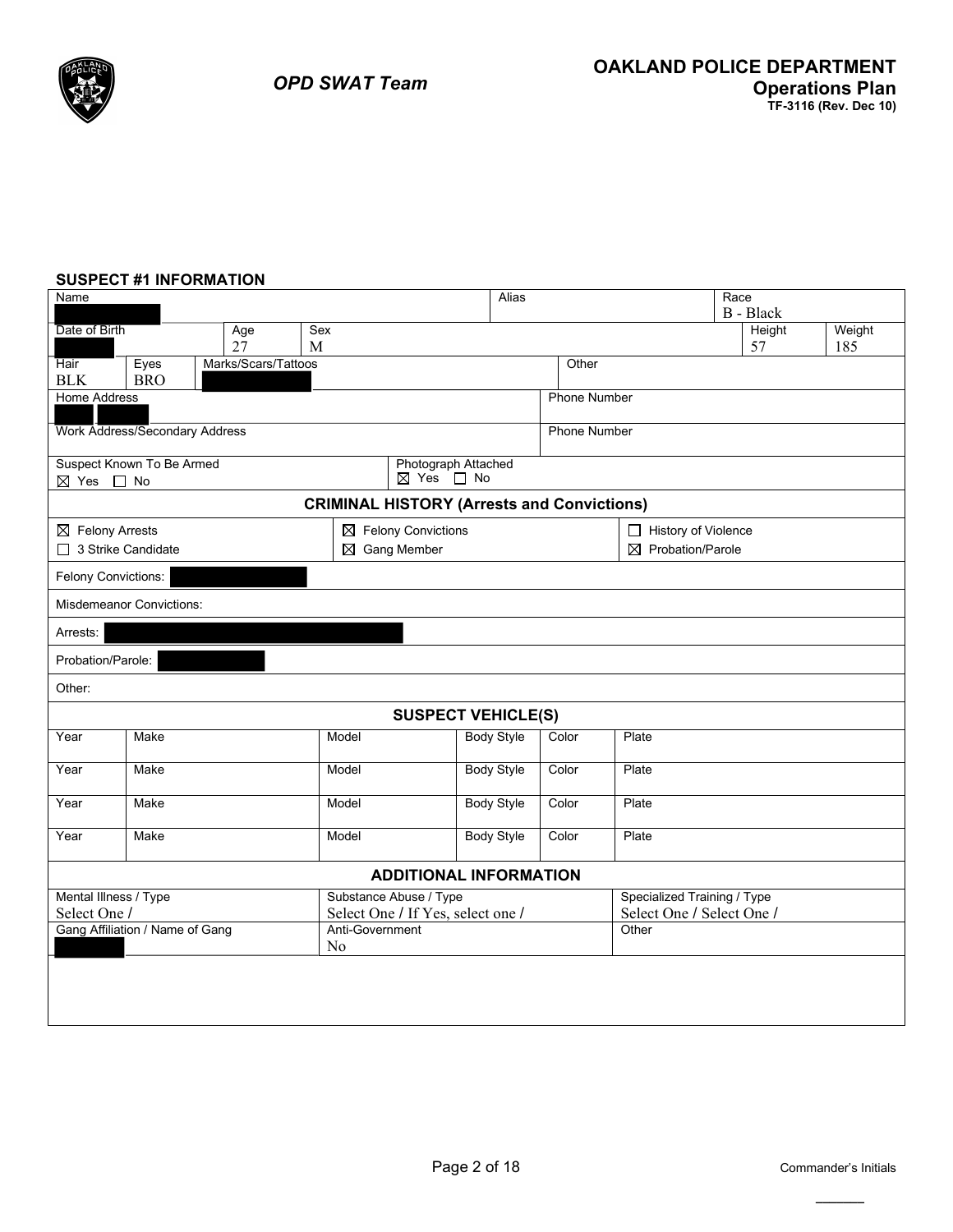### **SUSPECT #1 INFORMATION**

| Name                                                                            |                                       |                     |                 |                                   | Alias             |  |                     |                             | Race | B - Black |        |
|---------------------------------------------------------------------------------|---------------------------------------|---------------------|-----------------|-----------------------------------|-------------------|--|---------------------|-----------------------------|------|-----------|--------|
| Date of Birth                                                                   |                                       | Age                 | Sex             |                                   |                   |  |                     |                             |      | Height    | Weight |
|                                                                                 |                                       | 27                  | M               |                                   |                   |  |                     |                             |      | 57        | 185    |
| Hair                                                                            | Eyes                                  | Marks/Scars/Tattoos |                 |                                   |                   |  | Other               |                             |      |           |        |
| <b>BLK</b>                                                                      | <b>BRO</b>                            |                     |                 |                                   |                   |  |                     |                             |      |           |        |
| <b>Home Address</b>                                                             |                                       |                     |                 |                                   |                   |  | <b>Phone Number</b> |                             |      |           |        |
|                                                                                 | <b>Work Address/Secondary Address</b> |                     |                 |                                   |                   |  | <b>Phone Number</b> |                             |      |           |        |
|                                                                                 | Suspect Known To Be Armed             |                     |                 | Photograph Attached               |                   |  |                     |                             |      |           |        |
| ⊠ Yes □ No<br>⊠ Yes □ No                                                        |                                       |                     |                 |                                   |                   |  |                     |                             |      |           |        |
| <b>CRIMINAL HISTORY (Arrests and Convictions)</b>                               |                                       |                     |                 |                                   |                   |  |                     |                             |      |           |        |
| $\boxtimes$ Felony Convictions<br>$\boxtimes$ Felony Arrests                    |                                       |                     |                 |                                   |                   |  |                     | History of Violence         |      |           |        |
| □ 3 Strike Candidate<br>$\boxtimes$ Gang Member<br>$\boxtimes$ Probation/Parole |                                       |                     |                 |                                   |                   |  |                     |                             |      |           |        |
| Felony Convictions:                                                             |                                       |                     |                 |                                   |                   |  |                     |                             |      |           |        |
| <b>Misdemeanor Convictions:</b>                                                 |                                       |                     |                 |                                   |                   |  |                     |                             |      |           |        |
| Arrests:                                                                        |                                       |                     |                 |                                   |                   |  |                     |                             |      |           |        |
|                                                                                 | Probation/Parole:                     |                     |                 |                                   |                   |  |                     |                             |      |           |        |
| Other:                                                                          |                                       |                     |                 |                                   |                   |  |                     |                             |      |           |        |
|                                                                                 |                                       |                     |                 | <b>SUSPECT VEHICLE(S)</b>         |                   |  |                     |                             |      |           |        |
| Year                                                                            | Make                                  |                     | Model           |                                   | <b>Body Style</b> |  | Color               | Plate                       |      |           |        |
| Year                                                                            | Make                                  |                     | Model           |                                   | <b>Body Style</b> |  | Color               | Plate                       |      |           |        |
| Year                                                                            | Make                                  |                     | Model           |                                   | <b>Body Style</b> |  | Color               | Plate                       |      |           |        |
| Year                                                                            | Make                                  |                     | Model           |                                   | <b>Body Style</b> |  | Color               | Plate                       |      |           |        |
|                                                                                 |                                       |                     |                 | <b>ADDITIONAL INFORMATION</b>     |                   |  |                     |                             |      |           |        |
| Mental Illness / Type                                                           |                                       |                     |                 | Substance Abuse / Type            |                   |  |                     | Specialized Training / Type |      |           |        |
| Select One /                                                                    |                                       |                     |                 | Select One / If Yes, select one / |                   |  |                     | Select One / Select One /   |      |           |        |
|                                                                                 | Gang Affiliation / Name of Gang       |                     | Anti-Government |                                   |                   |  |                     | Other                       |      |           |        |
|                                                                                 |                                       |                     | No              |                                   |                   |  |                     |                             |      |           |        |
|                                                                                 |                                       |                     |                 |                                   |                   |  |                     |                             |      |           |        |
|                                                                                 |                                       |                     |                 |                                   |                   |  |                     |                             |      |           |        |
|                                                                                 |                                       |                     |                 |                                   |                   |  |                     |                             |      |           |        |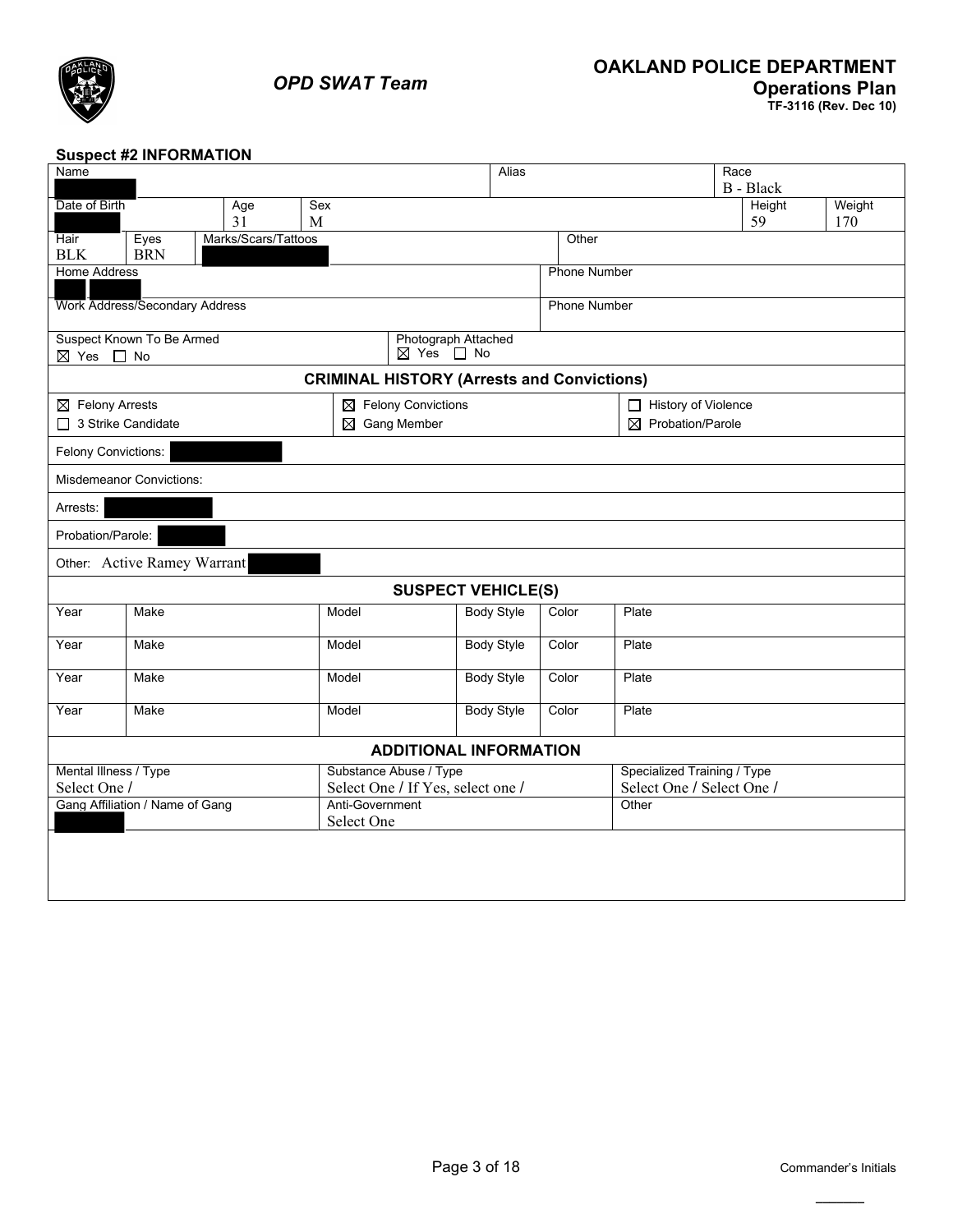

## **Suspect #2 INFORMATION**

| Name                                              |                                       |                     |                 |                                                  | Alias             |       |                     |                              | Race |           |        |
|---------------------------------------------------|---------------------------------------|---------------------|-----------------|--------------------------------------------------|-------------------|-------|---------------------|------------------------------|------|-----------|--------|
|                                                   |                                       |                     |                 |                                                  |                   |       |                     |                              |      | B - Black |        |
| Date of Birth                                     |                                       | Age                 | Sex             |                                                  |                   |       |                     |                              |      | Height    | Weight |
|                                                   |                                       | 31                  | M               |                                                  |                   |       |                     |                              |      | 59        | 170    |
| Hair<br><b>BLK</b>                                | Eyes<br><b>BRN</b>                    | Marks/Scars/Tattoos |                 |                                                  |                   |       | Other               |                              |      |           |        |
| <b>Home Address</b>                               |                                       |                     |                 |                                                  |                   |       | <b>Phone Number</b> |                              |      |           |        |
|                                                   | <b>Work Address/Secondary Address</b> |                     |                 |                                                  |                   |       | <b>Phone Number</b> |                              |      |           |        |
| ⊠ Yes □ No                                        | Suspect Known To Be Armed             |                     |                 | Photograph Attached<br>$\boxtimes$ Yes $\Box$ No |                   |       |                     |                              |      |           |        |
| <b>CRIMINAL HISTORY (Arrests and Convictions)</b> |                                       |                     |                 |                                                  |                   |       |                     |                              |      |           |        |
| $\boxtimes$ Felony Arrests                        |                                       |                     |                 | $\boxtimes$ Felony Convictions                   |                   |       |                     | History of Violence          |      |           |        |
| □ 3 Strike Candidate                              |                                       |                     |                 | $\boxtimes$ Gang Member                          |                   |       |                     | $\boxtimes$ Probation/Parole |      |           |        |
| Felony Convictions:                               |                                       |                     |                 |                                                  |                   |       |                     |                              |      |           |        |
| <b>Misdemeanor Convictions:</b>                   |                                       |                     |                 |                                                  |                   |       |                     |                              |      |           |        |
| Arrests:                                          |                                       |                     |                 |                                                  |                   |       |                     |                              |      |           |        |
|                                                   | Probation/Parole:                     |                     |                 |                                                  |                   |       |                     |                              |      |           |        |
|                                                   | Other: Active Ramey Warrant           |                     |                 |                                                  |                   |       |                     |                              |      |           |        |
|                                                   |                                       |                     |                 | <b>SUSPECT VEHICLE(S)</b>                        |                   |       |                     |                              |      |           |        |
| Year                                              | Make                                  |                     | Model           |                                                  | <b>Body Style</b> | Color |                     | Plate                        |      |           |        |
| Year                                              | Make                                  |                     | Model           |                                                  | <b>Body Style</b> | Color |                     | Plate                        |      |           |        |
| Year                                              | Make                                  |                     | Model           |                                                  | <b>Body Style</b> | Color |                     | Plate                        |      |           |        |
| Year                                              | Make                                  |                     | Model           |                                                  | <b>Body Style</b> | Color |                     | Plate                        |      |           |        |
| <b>ADDITIONAL INFORMATION</b>                     |                                       |                     |                 |                                                  |                   |       |                     |                              |      |           |        |
| Mental Illness / Type                             |                                       |                     |                 | Substance Abuse / Type                           |                   |       |                     | Specialized Training / Type  |      |           |        |
| Select One /                                      |                                       |                     |                 | Select One / If Yes, select one /                |                   |       |                     | Select One / Select One /    |      |           |        |
|                                                   | Gang Affiliation / Name of Gang       |                     | Anti-Government |                                                  |                   |       |                     | Other                        |      |           |        |
|                                                   |                                       |                     | Select One      |                                                  |                   |       |                     |                              |      |           |        |
|                                                   |                                       |                     |                 |                                                  |                   |       |                     |                              |      |           |        |
|                                                   |                                       |                     |                 |                                                  |                   |       |                     |                              |      |           |        |
|                                                   |                                       |                     |                 |                                                  |                   |       |                     |                              |      |           |        |
|                                                   |                                       |                     |                 |                                                  |                   |       |                     |                              |      |           |        |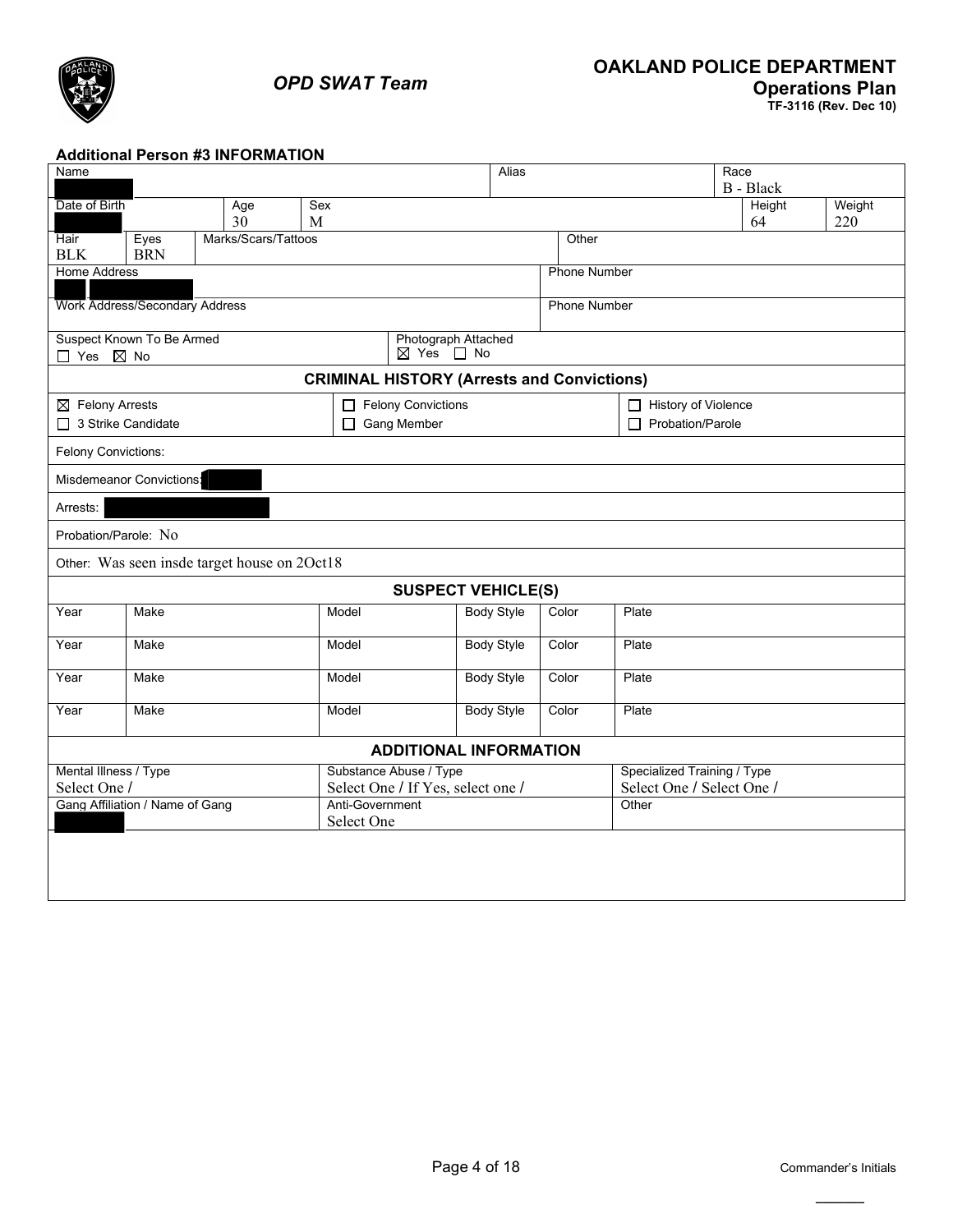

### **Additional Person #3 INFORMATION**

| Name                                              |                     |                                   | Alias             |                     |                             | Race             |        |  |  |
|---------------------------------------------------|---------------------|-----------------------------------|-------------------|---------------------|-----------------------------|------------------|--------|--|--|
|                                                   |                     |                                   |                   |                     |                             | <b>B</b> - Black |        |  |  |
| Date of Birth<br>Age                              | Sex                 |                                   |                   |                     |                             | Height           | Weight |  |  |
| 30                                                | M                   |                                   |                   |                     |                             | 64               | 220    |  |  |
| Eyes<br>Hair                                      | Marks/Scars/Tattoos |                                   |                   | Other               |                             |                  |        |  |  |
| <b>BLK</b><br><b>BRN</b>                          |                     |                                   |                   |                     |                             |                  |        |  |  |
| <b>Home Address</b>                               |                     |                                   |                   | <b>Phone Number</b> |                             |                  |        |  |  |
|                                                   |                     |                                   |                   |                     |                             |                  |        |  |  |
| <b>Work Address/Secondary Address</b>             |                     |                                   |                   | <b>Phone Number</b> |                             |                  |        |  |  |
|                                                   |                     |                                   |                   |                     |                             |                  |        |  |  |
| Suspect Known To Be Armed                         |                     | Photograph Attached               |                   |                     |                             |                  |        |  |  |
| □ Yes ⊠ No                                        |                     | ⊠ Yes □ No                        |                   |                     |                             |                  |        |  |  |
| <b>CRIMINAL HISTORY (Arrests and Convictions)</b> |                     |                                   |                   |                     |                             |                  |        |  |  |
| $\boxtimes$ Felony Arrests                        |                     | Felony Convictions                |                   |                     | History of Violence         |                  |        |  |  |
| □ 3 Strike Candidate                              |                     | □ Gang Member                     |                   |                     | $\Box$ Probation/Parole     |                  |        |  |  |
|                                                   |                     |                                   |                   |                     |                             |                  |        |  |  |
| Felony Convictions:                               |                     |                                   |                   |                     |                             |                  |        |  |  |
| Misdemeanor Convictions:                          |                     |                                   |                   |                     |                             |                  |        |  |  |
| Arrests:                                          |                     |                                   |                   |                     |                             |                  |        |  |  |
| Probation/Parole: No                              |                     |                                   |                   |                     |                             |                  |        |  |  |
| Other: Was seen insde target house on 2Oct18      |                     |                                   |                   |                     |                             |                  |        |  |  |
|                                                   |                     | <b>SUSPECT VEHICLE(S)</b>         |                   |                     |                             |                  |        |  |  |
| Year<br>Make                                      |                     | Model                             | <b>Body Style</b> | Color               | Plate                       |                  |        |  |  |
| Year<br>Make                                      |                     | Model                             | <b>Body Style</b> | Color               | Plate                       |                  |        |  |  |
|                                                   |                     |                                   |                   |                     |                             |                  |        |  |  |
| Make<br>Year                                      |                     | Model                             | <b>Body Style</b> | Color               | Plate                       |                  |        |  |  |
| Make<br>Year                                      |                     | Model                             | <b>Body Style</b> | Color               | Plate                       |                  |        |  |  |
|                                                   |                     | <b>ADDITIONAL INFORMATION</b>     |                   |                     |                             |                  |        |  |  |
| Mental Illness / Type                             |                     | Substance Abuse / Type            |                   |                     | Specialized Training / Type |                  |        |  |  |
| Select One /                                      |                     | Select One / If Yes, select one / |                   |                     | Select One / Select One /   |                  |        |  |  |
| Gang Affiliation / Name of Gang                   |                     | Anti-Government                   |                   |                     | Other                       |                  |        |  |  |
|                                                   |                     | Select One                        |                   |                     |                             |                  |        |  |  |
|                                                   |                     |                                   |                   |                     |                             |                  |        |  |  |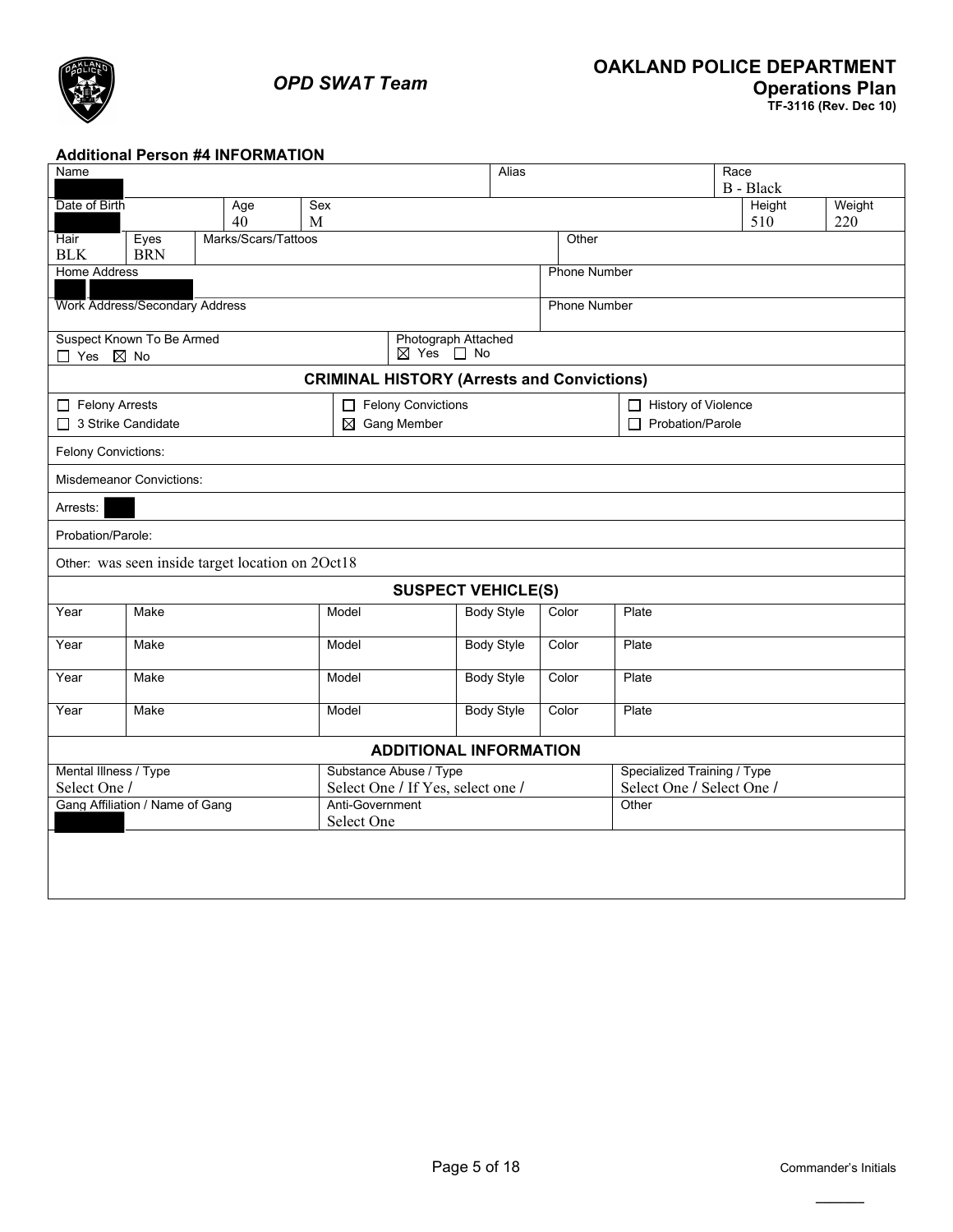

### **Additional Person #4 INFORMATION**

| Name                                              |                                       |                                                  |                 |                                   | Alias             |                     |                             | Race             |  |        |
|---------------------------------------------------|---------------------------------------|--------------------------------------------------|-----------------|-----------------------------------|-------------------|---------------------|-----------------------------|------------------|--|--------|
|                                                   |                                       |                                                  |                 |                                   |                   |                     |                             | <b>B</b> - Black |  |        |
| Date of Birth                                     |                                       | Age                                              | Sex             |                                   |                   |                     |                             | Height           |  | Weight |
|                                                   |                                       | 40                                               | M               |                                   |                   |                     |                             | 510              |  | 220    |
| <b>Hair</b>                                       | Eyes                                  | Marks/Scars/Tattoos                              |                 |                                   |                   | Other               |                             |                  |  |        |
| <b>BLK</b>                                        | <b>BRN</b>                            |                                                  |                 |                                   |                   |                     |                             |                  |  |        |
| <b>Home Address</b>                               |                                       |                                                  |                 |                                   |                   | <b>Phone Number</b> |                             |                  |  |        |
|                                                   |                                       |                                                  |                 |                                   |                   |                     |                             |                  |  |        |
|                                                   | <b>Work Address/Secondary Address</b> |                                                  |                 |                                   |                   | <b>Phone Number</b> |                             |                  |  |        |
|                                                   | Suspect Known To Be Armed             |                                                  |                 | Photograph Attached               |                   |                     |                             |                  |  |        |
| □ Yes ⊠ No                                        |                                       |                                                  |                 | $\boxtimes$ Yes $\Box$ No         |                   |                     |                             |                  |  |        |
| <b>CRIMINAL HISTORY (Arrests and Convictions)</b> |                                       |                                                  |                 |                                   |                   |                     |                             |                  |  |        |
| Felony Arrests                                    |                                       |                                                  |                 | Felony Convictions                |                   |                     | History of Violence         |                  |  |        |
| 3 Strike Candidate<br>$\boxtimes$ Gang Member     |                                       |                                                  |                 |                                   |                   |                     | $\Box$ Probation/Parole     |                  |  |        |
| Felony Convictions:                               |                                       |                                                  |                 |                                   |                   |                     |                             |                  |  |        |
|                                                   | <b>Misdemeanor Convictions:</b>       |                                                  |                 |                                   |                   |                     |                             |                  |  |        |
| Arrests:                                          |                                       |                                                  |                 |                                   |                   |                     |                             |                  |  |        |
| Probation/Parole:                                 |                                       |                                                  |                 |                                   |                   |                     |                             |                  |  |        |
|                                                   |                                       | Other: was seen inside target location on 2Oct18 |                 |                                   |                   |                     |                             |                  |  |        |
|                                                   |                                       |                                                  |                 | <b>SUSPECT VEHICLE(S)</b>         |                   |                     |                             |                  |  |        |
| Year                                              | Make                                  |                                                  | Model           |                                   | <b>Body Style</b> | Color               | Plate                       |                  |  |        |
| Year                                              | Make                                  |                                                  | Model           |                                   | <b>Body Style</b> | Color               | Plate                       |                  |  |        |
| Year                                              | Make                                  |                                                  | Model           |                                   | <b>Body Style</b> | Color               | Plate                       |                  |  |        |
|                                                   |                                       |                                                  |                 |                                   |                   |                     |                             |                  |  |        |
| Year                                              | Make                                  |                                                  | Model           |                                   | <b>Body Style</b> | Color               | Plate                       |                  |  |        |
|                                                   |                                       |                                                  |                 | <b>ADDITIONAL INFORMATION</b>     |                   |                     |                             |                  |  |        |
| Mental Illness / Type                             |                                       |                                                  |                 | Substance Abuse / Type            |                   |                     | Specialized Training / Type |                  |  |        |
| Select One /                                      |                                       |                                                  |                 | Select One / If Yes, select one / |                   |                     | Select One / Select One /   |                  |  |        |
|                                                   | Gang Affiliation / Name of Gang       |                                                  | Anti-Government |                                   |                   |                     | Other                       |                  |  |        |
|                                                   |                                       |                                                  | Select One      |                                   |                   |                     |                             |                  |  |        |
|                                                   |                                       |                                                  |                 |                                   |                   |                     |                             |                  |  |        |
|                                                   |                                       |                                                  |                 |                                   |                   |                     |                             |                  |  |        |
|                                                   |                                       |                                                  |                 |                                   |                   |                     |                             |                  |  |        |
|                                                   |                                       |                                                  |                 |                                   |                   |                     |                             |                  |  |        |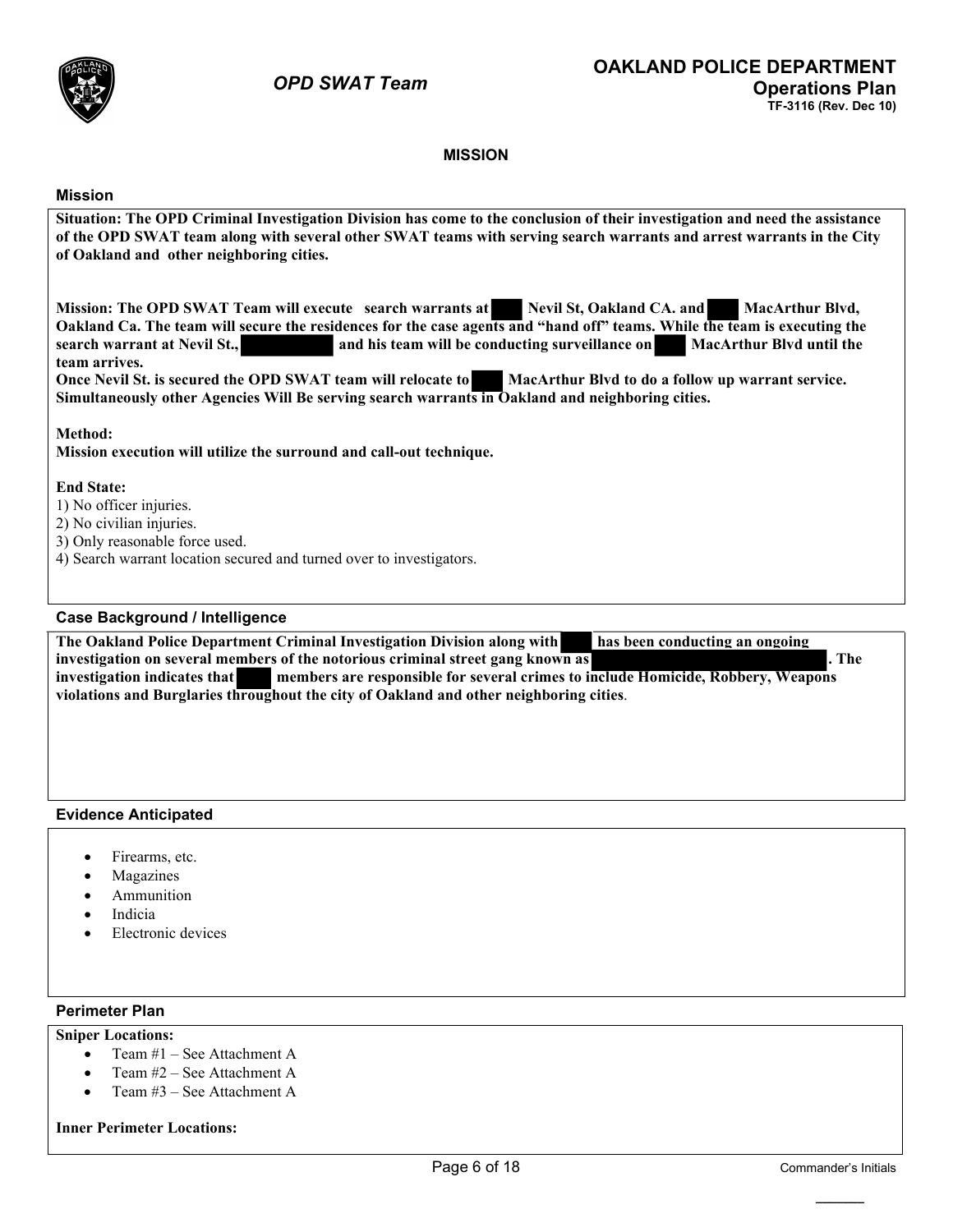

### **MISSION**

#### **Mission**

**Situation: The OPD Criminal Investigation Division has come to the conclusion of their investigation and need the assistance of the OPD SWAT team along with several other SWAT teams with serving search warrants and arrest warrants in the City of Oakland and other neighboring cities.**  Mission: The OPD SWAT Team will execute search warrants at Nevil St, Oakland CA. and MacArthur Blvd, **Oakland Ca. The team will secure the residences for the case agents and "hand off" teams. While the team is executing the search warrant at Nevil St., and his team will be conducting surveillance on MacArthur Blvd until the team arrives. Once Nevil St. is secured the OPD SWAT team will relocate to MacArthur Blvd to do a follow up warrant service. Simultaneously other Agencies Will Be serving search warrants in Oakland and neighboring cities. Method: Mission execution will utilize the surround and call-out technique. End State:** 1) No officer injuries. 2) No civilian injuries. 3) Only reasonable force used. 4) Search warrant location secured and turned over to investigators. **Case Background / Intelligence The Oakland Police Department Criminal Investigation Division along with has been conducting an ongoing investigation on several members of the notorious criminal street gang known as . The investigation indicates that members are responsible for several crimes to include Homicide, Robbery, Weapons violations and Burglaries throughout the city of Oakland and other neighboring cities**.

#### **Evidence Anticipated**

- Firearms, etc.
- **Magazines**
- **Ammunition**
- **Indicia**
- Electronic devices

#### **Perimeter Plan**

#### **Sniper Locations:**

- Team #1 See Attachment A
- Team #2 See Attachment A
- Team #3 See Attachment A

#### **Inner Perimeter Locations:**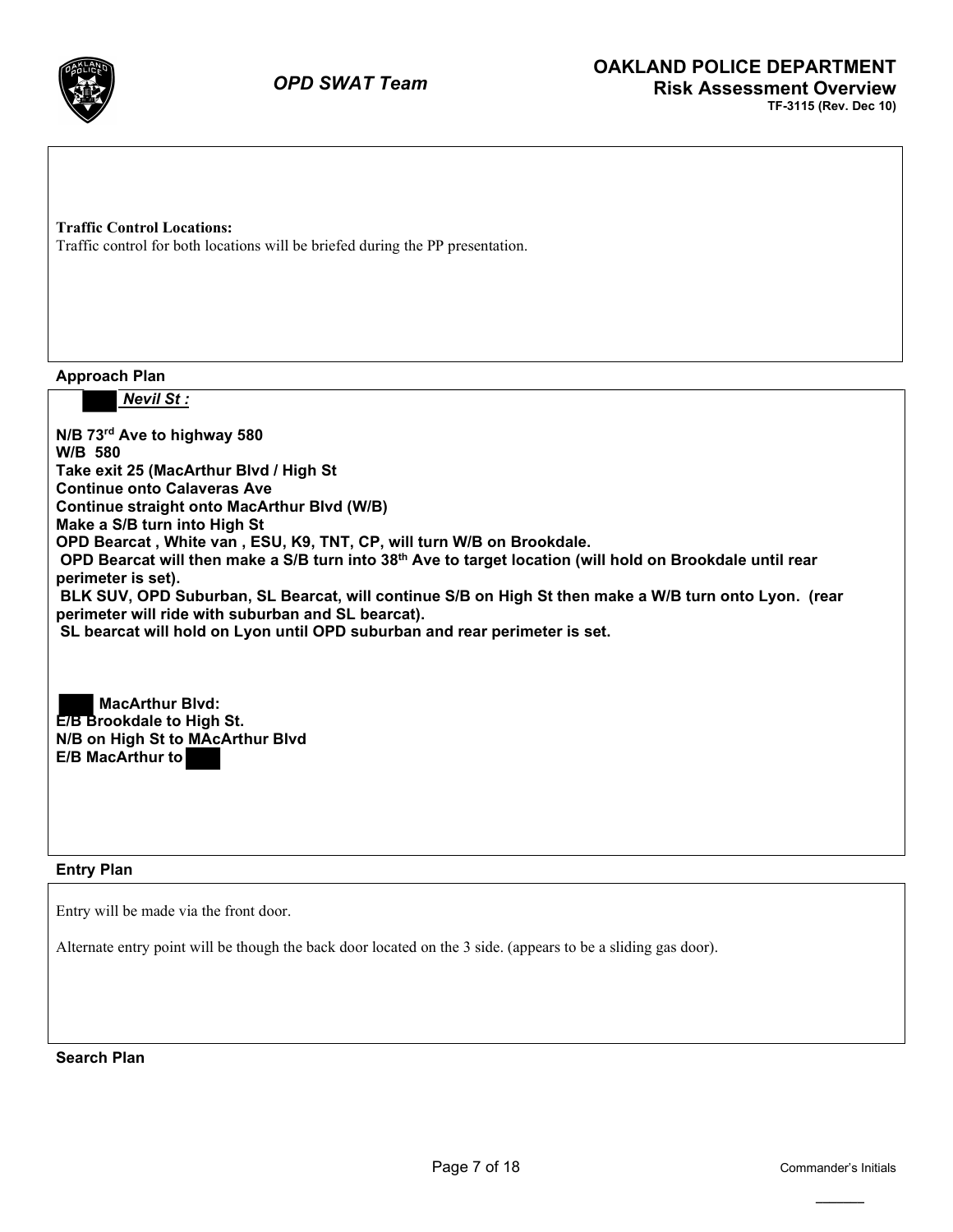

**Traffic Control Locations:** Traffic control for both locations will be briefed during the PP presentation.

**Approach Plan**

 *Nevil St :*

**N/B 73rd Ave to highway 580 W/B 580 Take exit 25 (MacArthur Blvd / High St Continue onto Calaveras Ave Continue straight onto MacArthur Blvd (W/B) Make a S/B turn into High St OPD Bearcat , White van , ESU, K9, TNT, CP, will turn W/B on Brookdale. OPD Bearcat will then make a S/B turn into 38th Ave to target location (will hold on Brookdale until rear perimeter is set). BLK SUV, OPD Suburban, SL Bearcat, will continue S/B on High St then make a W/B turn onto Lyon. (rear perimeter will ride with suburban and SL bearcat). SL bearcat will hold on Lyon until OPD suburban and rear perimeter is set. MacArthur Blvd: E/B Brookdale to High St. N/B on High St to MAcArthur Blvd E/B MacArthur to** 

**Entry Plan**

Entry will be made via the front door.

Alternate entry point will be though the back door located on the 3 side. (appears to be a sliding gas door).

**Search Plan**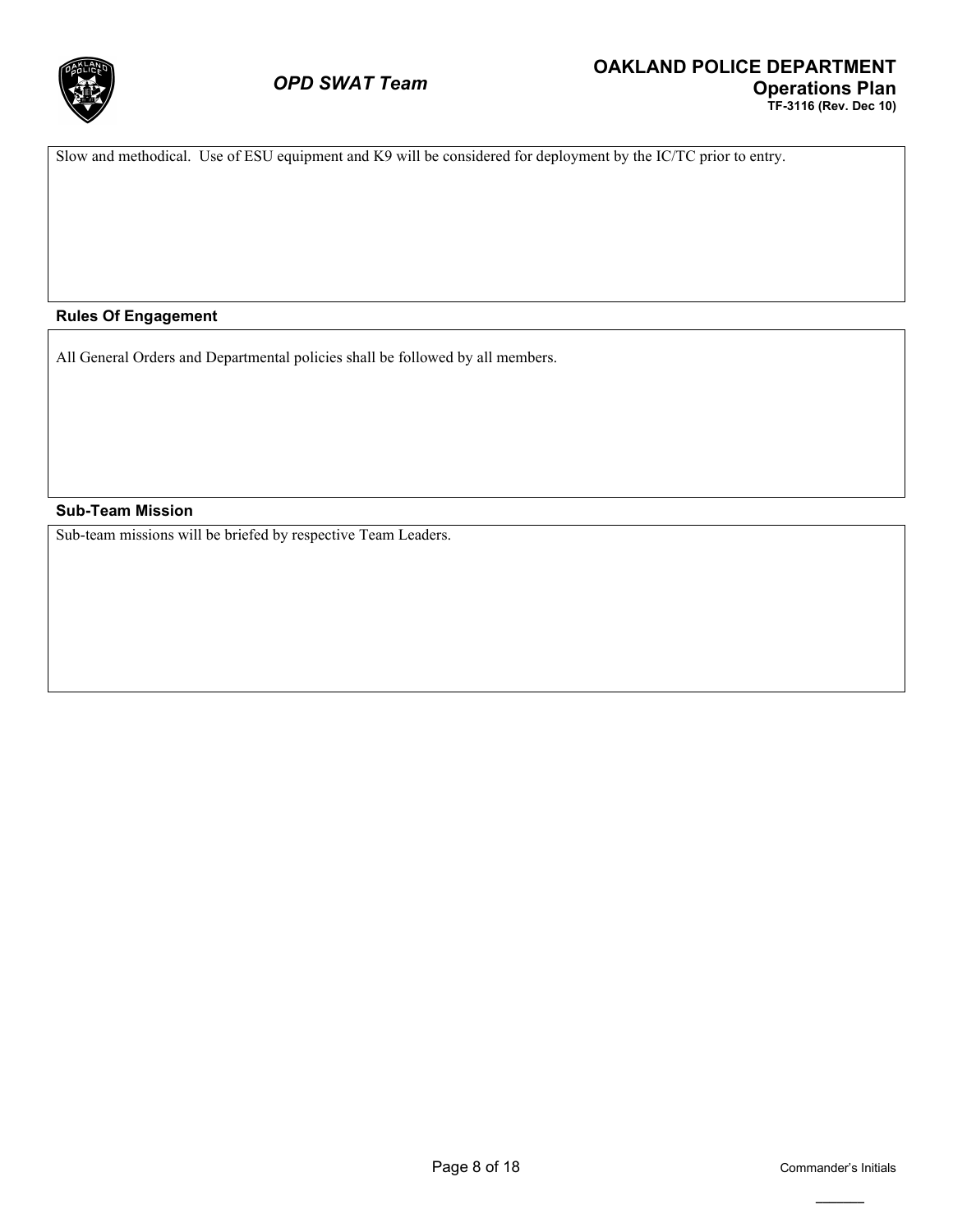

Slow and methodical. Use of ESU equipment and K9 will be considered for deployment by the IC/TC prior to entry.

#### **Rules Of Engagement**

All General Orders and Departmental policies shall be followed by all members.

#### **Sub-Team Mission**

Sub-team missions will be briefed by respective Team Leaders.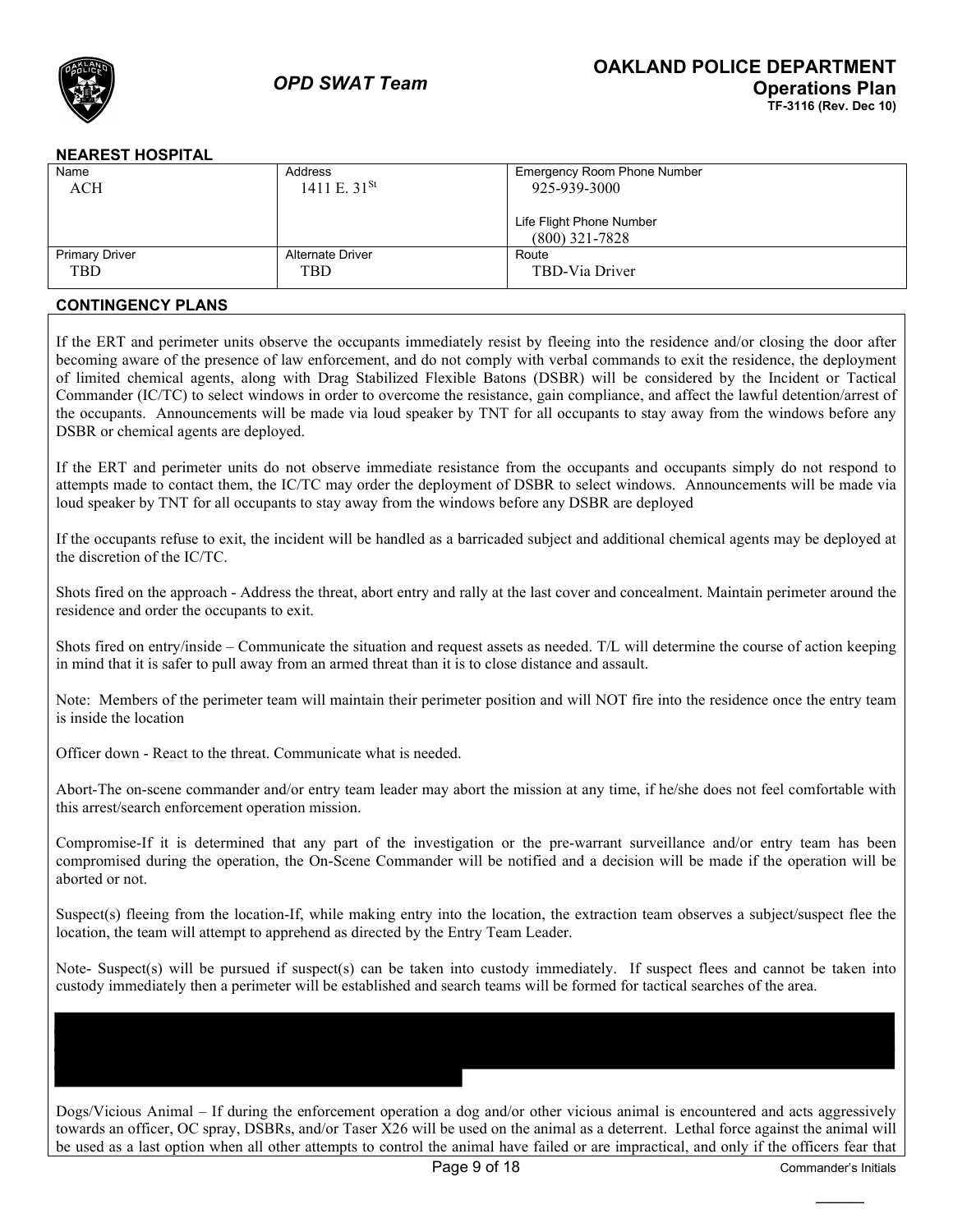

### **NEAREST HOSPITAL**

| Name                  | Address                 | Emergency Room Phone Number |
|-----------------------|-------------------------|-----------------------------|
| ACH                   | 1411 E. $31^{St}$       | 925-939-3000                |
|                       |                         |                             |
|                       |                         | Life Flight Phone Number    |
|                       |                         | $(800)$ 321-7828            |
| <b>Primary Driver</b> | <b>Alternate Driver</b> | Route                       |
| <b>TBD</b>            | TBD                     | TBD-Via Driver              |
|                       |                         |                             |

### **CONTINGENCY PLANS**

If the ERT and perimeter units observe the occupants immediately resist by fleeing into the residence and/or closing the door after becoming aware of the presence of law enforcement, and do not comply with verbal commands to exit the residence, the deployment of limited chemical agents, along with Drag Stabilized Flexible Batons (DSBR) will be considered by the Incident or Tactical Commander (IC/TC) to select windows in order to overcome the resistance, gain compliance, and affect the lawful detention/arrest of the occupants. Announcements will be made via loud speaker by TNT for all occupants to stay away from the windows before any DSBR or chemical agents are deployed.

If the ERT and perimeter units do not observe immediate resistance from the occupants and occupants simply do not respond to attempts made to contact them, the IC/TC may order the deployment of DSBR to select windows. Announcements will be made via loud speaker by TNT for all occupants to stay away from the windows before any DSBR are deployed

If the occupants refuse to exit, the incident will be handled as a barricaded subject and additional chemical agents may be deployed at the discretion of the IC/TC.

Shots fired on the approach - Address the threat, abort entry and rally at the last cover and concealment. Maintain perimeter around the residence and order the occupants to exit.

Shots fired on entry/inside – Communicate the situation and request assets as needed. T/L will determine the course of action keeping in mind that it is safer to pull away from an armed threat than it is to close distance and assault.

Note: Members of the perimeter team will maintain their perimeter position and will NOT fire into the residence once the entry team is inside the location

Officer down - React to the threat. Communicate what is needed.

Abort-The on-scene commander and/or entry team leader may abort the mission at any time, if he/she does not feel comfortable with this arrest/search enforcement operation mission.

Compromise-If it is determined that any part of the investigation or the pre-warrant surveillance and/or entry team has been compromised during the operation, the On-Scene Commander will be notified and a decision will be made if the operation will be aborted or not.

Suspect(s) fleeing from the location-If, while making entry into the location, the extraction team observes a subject/suspect flee the location, the team will attempt to apprehend as directed by the Entry Team Leader.

Note- Suspect(s) will be pursued if suspect(s) can be taken into custody immediately. If suspect flees and cannot be taken into custody immediately then a perimeter will be established and search teams will be formed for tactical searches of the area.

Dogs/Vicious Animal – If during the enforcement operation a dog and/or other vicious animal is encountered and acts aggressively towards an officer, OC spray, DSBRs, and/or Taser X26 will be used on the animal as a deterrent. Lethal force against the animal will be used as a last option when all other attempts to control the animal have failed or are impractical, and only if the officers fear that

**\_\_\_\_\_\_\_**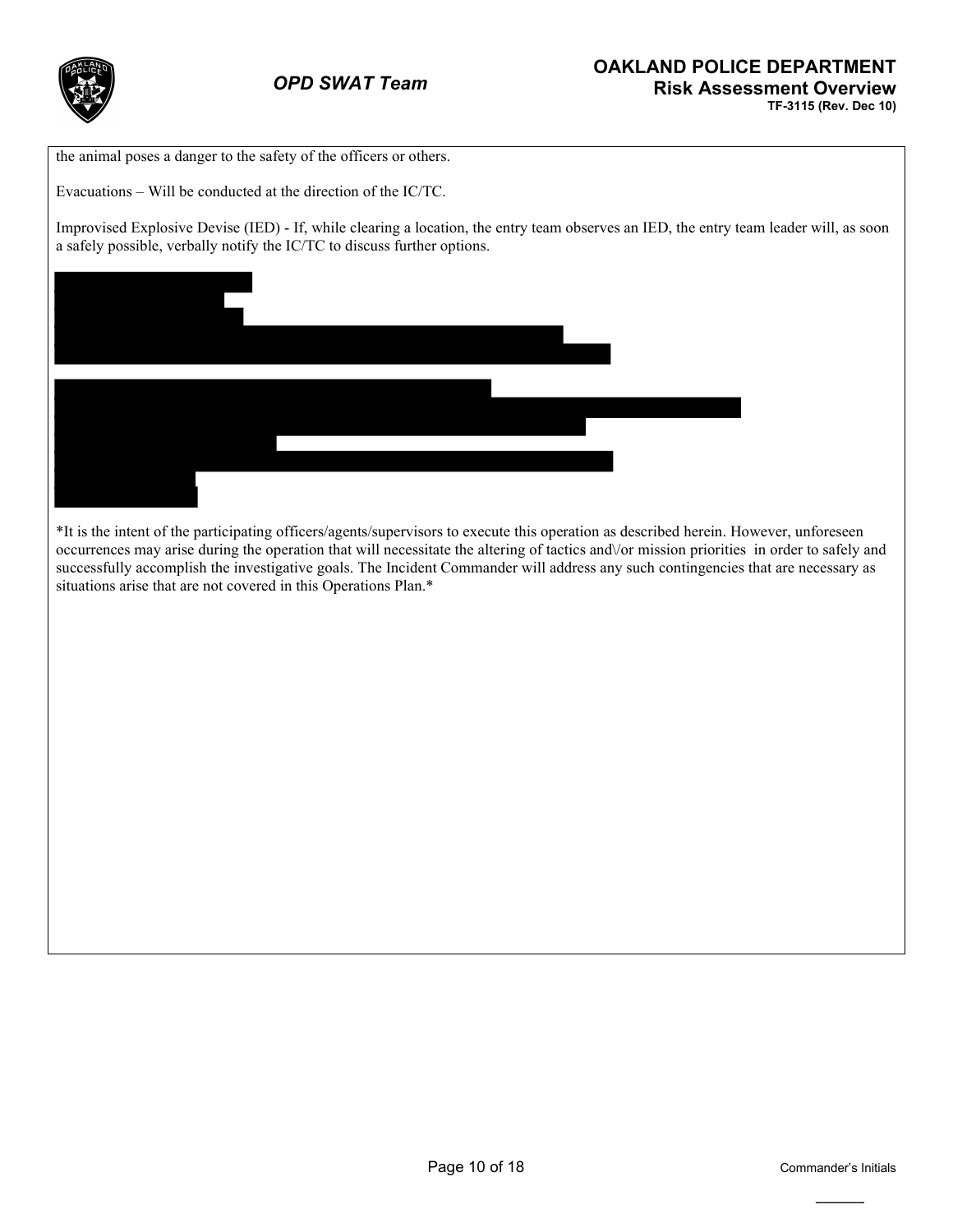

the animal poses a danger to the safety of the officers or others.

Evacuations – Will be conducted at the direction of the IC/TC.

Improvised Explosive Devise (IED) - If, while clearing a location, the entry team observes an IED, the entry team leader will, as soon a safely possible, verbally notify the IC/TC to discuss further options.



\*It is the intent of the participating officers/agents/supervisors to execute this operation as described herein. However, unforeseen occurrences may arise during the operation that will necessitate the altering of tactics and\/or mission priorities in order to safely and successfully accomplish the investigative goals. The Incident Commander will address any such contingencies that are necessary as situations arise that are not covered in this Operations Plan.\*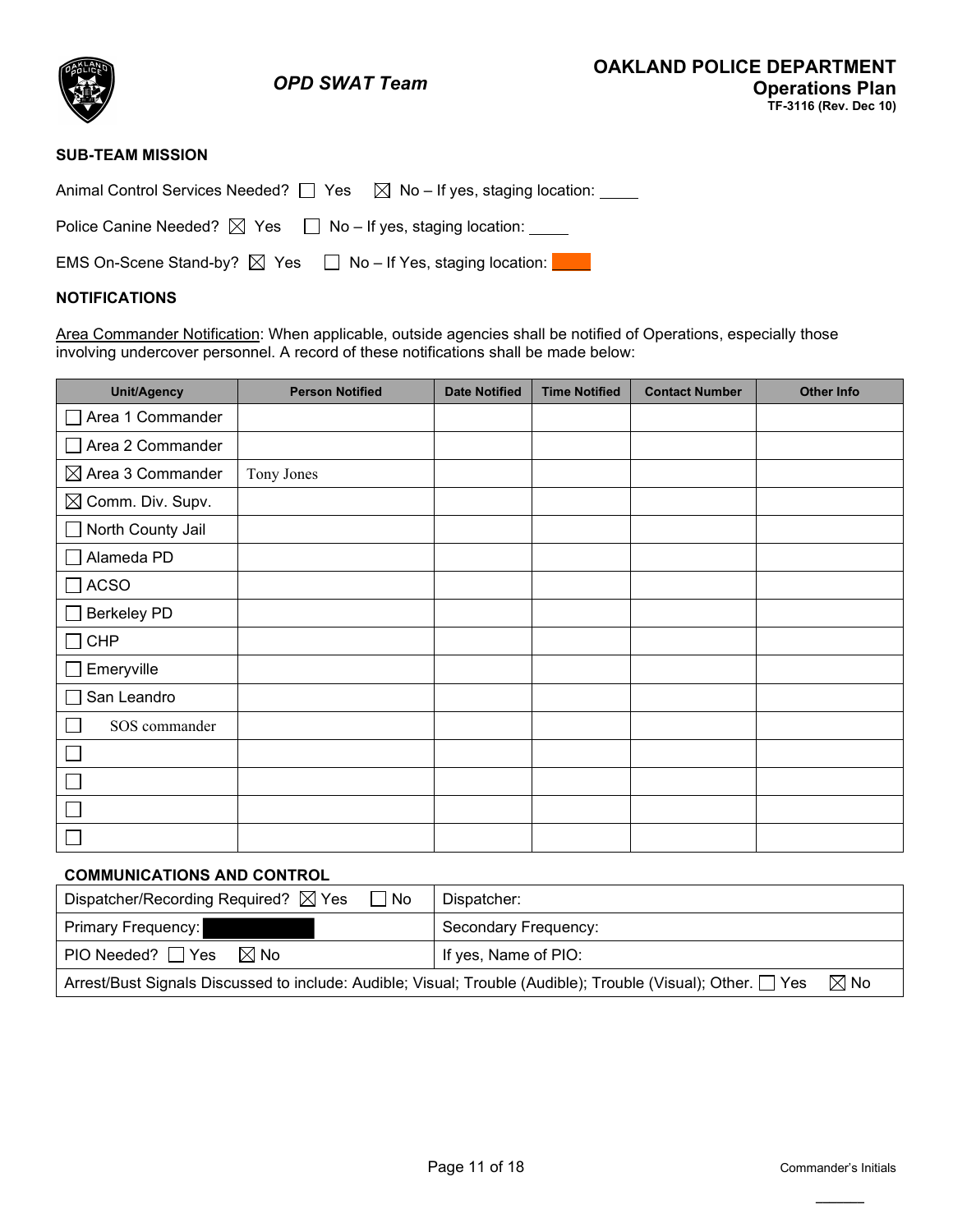

## **SUB-TEAM MISSION**

|--|--|

Police Canine Needed?  $\boxtimes$  Yes  $\Box$  No - If yes, staging location:  $\_\_$ 

EMS On-Scene Stand-by?  $\boxtimes$  Yes  $\Box$  No – If Yes, staging location:

### **NOTIFICATIONS**

Area Commander Notification: When applicable, outside agencies shall be notified of Operations, especially those involving undercover personnel. A record of these notifications shall be made below:

| <b>Unit/Agency</b>                | <b>Person Notified</b> | <b>Date Notified</b> | <b>Time Notified</b> | <b>Contact Number</b> | <b>Other Info</b> |
|-----------------------------------|------------------------|----------------------|----------------------|-----------------------|-------------------|
| Area 1 Commander<br>$\sim$        |                        |                      |                      |                       |                   |
| Area 2 Commander<br>$\mathsf{L}$  |                        |                      |                      |                       |                   |
| $\boxtimes$ Area 3 Commander      | Tony Jones             |                      |                      |                       |                   |
| $\boxtimes$ Comm. Div. Supv.      |                        |                      |                      |                       |                   |
| North County Jail<br>$\mathbf{L}$ |                        |                      |                      |                       |                   |
| Alameda PD<br>L.                  |                        |                      |                      |                       |                   |
| $\square$ ACSO                    |                        |                      |                      |                       |                   |
| <b>Berkeley PD</b>                |                        |                      |                      |                       |                   |
| CHP<br>$\sim$                     |                        |                      |                      |                       |                   |
| Emeryville                        |                        |                      |                      |                       |                   |
| San Leandro                       |                        |                      |                      |                       |                   |
| SOS commander                     |                        |                      |                      |                       |                   |
|                                   |                        |                      |                      |                       |                   |
|                                   |                        |                      |                      |                       |                   |
|                                   |                        |                      |                      |                       |                   |
|                                   |                        |                      |                      |                       |                   |

#### **COMMUNICATIONS AND CONTROL**

| Dispatcher/Recording Required? $\boxtimes$ Yes<br>$\Box$ No                                                                    | Dispatcher:          |  |  |  |  |  |
|--------------------------------------------------------------------------------------------------------------------------------|----------------------|--|--|--|--|--|
| <b>Primary Frequency:</b>                                                                                                      | Secondary Frequency: |  |  |  |  |  |
| PIO Needed? $\Box$ Yes $\boxtimes$ No                                                                                          | If yes, Name of PIO: |  |  |  |  |  |
| $\boxtimes$ No<br>Arrest/Bust Signals Discussed to include: Audible; Visual; Trouble (Audible); Trouble (Visual); Other. □ Yes |                      |  |  |  |  |  |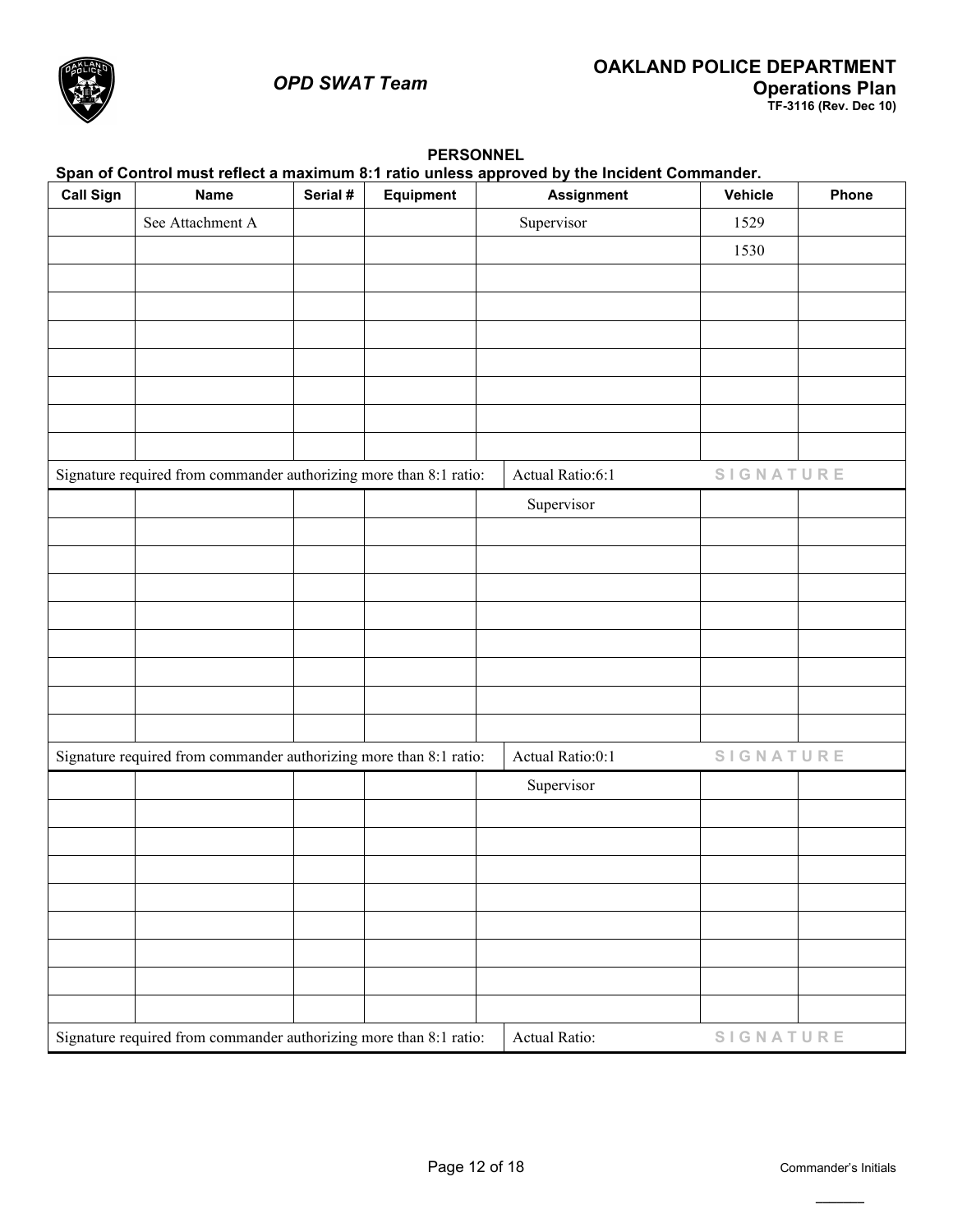## *OPD SWAT Team*



|                  | Span of Control must reflect a maximum 8:1 ratio unless approved by the Incident Commander. |          |           |                   |                  |       |  |  |  |  |
|------------------|---------------------------------------------------------------------------------------------|----------|-----------|-------------------|------------------|-------|--|--|--|--|
| <b>Call Sign</b> | <b>Name</b>                                                                                 | Serial # | Equipment | <b>Assignment</b> | <b>Vehicle</b>   | Phone |  |  |  |  |
|                  | See Attachment A                                                                            |          |           | Supervisor        | 1529             |       |  |  |  |  |
|                  |                                                                                             |          |           |                   | 1530             |       |  |  |  |  |
|                  |                                                                                             |          |           |                   |                  |       |  |  |  |  |
|                  |                                                                                             |          |           |                   |                  |       |  |  |  |  |
|                  |                                                                                             |          |           |                   |                  |       |  |  |  |  |
|                  |                                                                                             |          |           |                   |                  |       |  |  |  |  |
|                  |                                                                                             |          |           |                   |                  |       |  |  |  |  |
|                  |                                                                                             |          |           |                   |                  |       |  |  |  |  |
|                  |                                                                                             |          |           |                   |                  |       |  |  |  |  |
|                  | Signature required from commander authorizing more than 8:1 ratio:                          |          |           | Actual Ratio:6:1  | SIGNATURE        |       |  |  |  |  |
|                  |                                                                                             |          |           | Supervisor        |                  |       |  |  |  |  |
|                  |                                                                                             |          |           |                   |                  |       |  |  |  |  |
|                  |                                                                                             |          |           |                   |                  |       |  |  |  |  |
|                  |                                                                                             |          |           |                   |                  |       |  |  |  |  |
|                  |                                                                                             |          |           |                   |                  |       |  |  |  |  |
|                  |                                                                                             |          |           |                   |                  |       |  |  |  |  |
|                  |                                                                                             |          |           |                   |                  |       |  |  |  |  |
|                  |                                                                                             |          |           |                   |                  |       |  |  |  |  |
|                  |                                                                                             |          |           |                   |                  |       |  |  |  |  |
|                  |                                                                                             |          |           |                   |                  |       |  |  |  |  |
|                  | Signature required from commander authorizing more than 8:1 ratio:                          |          |           | Actual Ratio:0:1  | SIGNATURE        |       |  |  |  |  |
|                  |                                                                                             |          |           | Supervisor        |                  |       |  |  |  |  |
|                  |                                                                                             |          |           |                   |                  |       |  |  |  |  |
|                  |                                                                                             |          |           |                   |                  |       |  |  |  |  |
|                  |                                                                                             |          |           |                   |                  |       |  |  |  |  |
|                  |                                                                                             |          |           |                   |                  |       |  |  |  |  |
|                  |                                                                                             |          |           |                   |                  |       |  |  |  |  |
|                  |                                                                                             |          |           |                   |                  |       |  |  |  |  |
|                  |                                                                                             |          |           |                   |                  |       |  |  |  |  |
|                  |                                                                                             |          |           |                   |                  |       |  |  |  |  |
|                  | Signature required from commander authorizing more than 8:1 ratio:                          |          |           | Actual Ratio:     | <b>SIGNATURE</b> |       |  |  |  |  |

## **PERSONNEL**

**\_\_\_\_\_\_\_**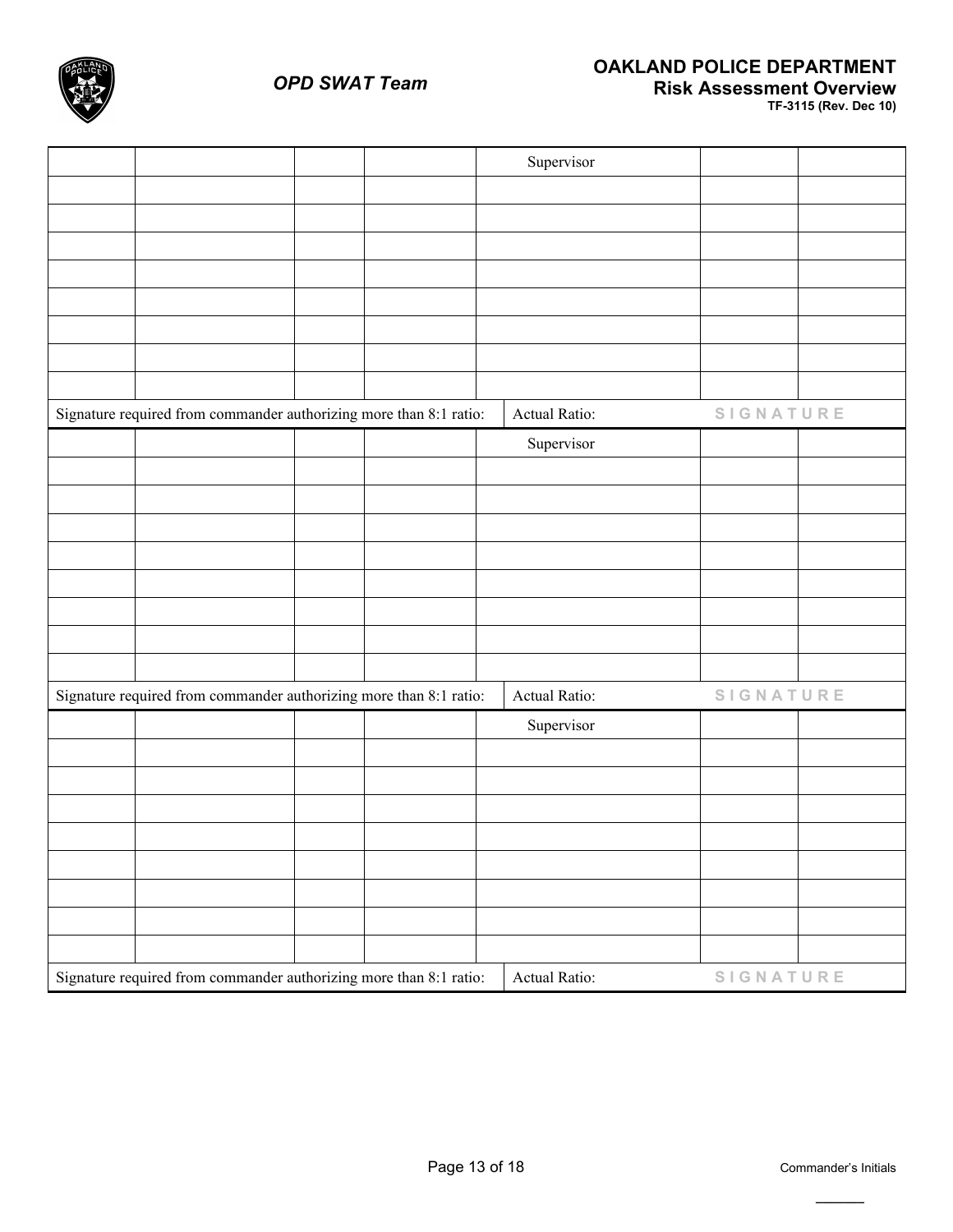

|                                                                    |  | Supervisor    |                  |  |
|--------------------------------------------------------------------|--|---------------|------------------|--|
|                                                                    |  |               |                  |  |
|                                                                    |  |               |                  |  |
|                                                                    |  |               |                  |  |
|                                                                    |  |               |                  |  |
|                                                                    |  |               |                  |  |
|                                                                    |  |               |                  |  |
|                                                                    |  |               |                  |  |
|                                                                    |  |               |                  |  |
| Signature required from commander authorizing more than 8:1 ratio: |  | Actual Ratio: | <b>SIGNATURE</b> |  |
|                                                                    |  | Supervisor    |                  |  |
|                                                                    |  |               |                  |  |
|                                                                    |  |               |                  |  |
|                                                                    |  |               |                  |  |
|                                                                    |  |               |                  |  |
|                                                                    |  |               |                  |  |
|                                                                    |  |               |                  |  |
|                                                                    |  |               |                  |  |
|                                                                    |  |               |                  |  |
| Signature required from commander authorizing more than 8:1 ratio: |  | Actual Ratio: | <b>SIGNATURE</b> |  |
|                                                                    |  | Supervisor    |                  |  |
|                                                                    |  |               |                  |  |
|                                                                    |  |               |                  |  |
|                                                                    |  |               |                  |  |
|                                                                    |  |               |                  |  |
|                                                                    |  |               |                  |  |
|                                                                    |  |               |                  |  |
|                                                                    |  |               |                  |  |
|                                                                    |  |               |                  |  |
| Signature required from commander authorizing more than 8:1 ratio: |  | Actual Ratio: | SIGNATURE        |  |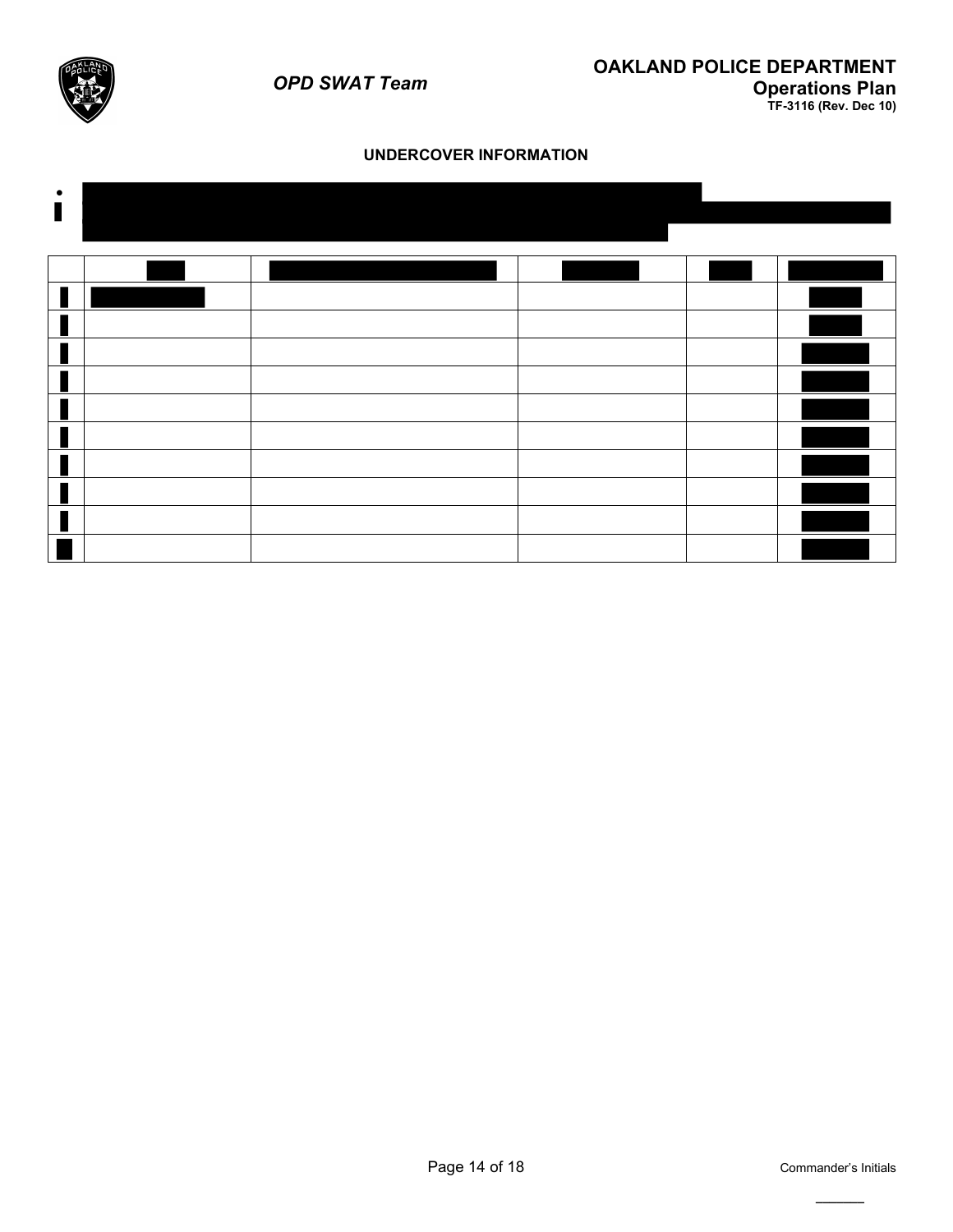

## **UNDERCOVER INFORMATION**



**\_\_\_\_\_\_\_**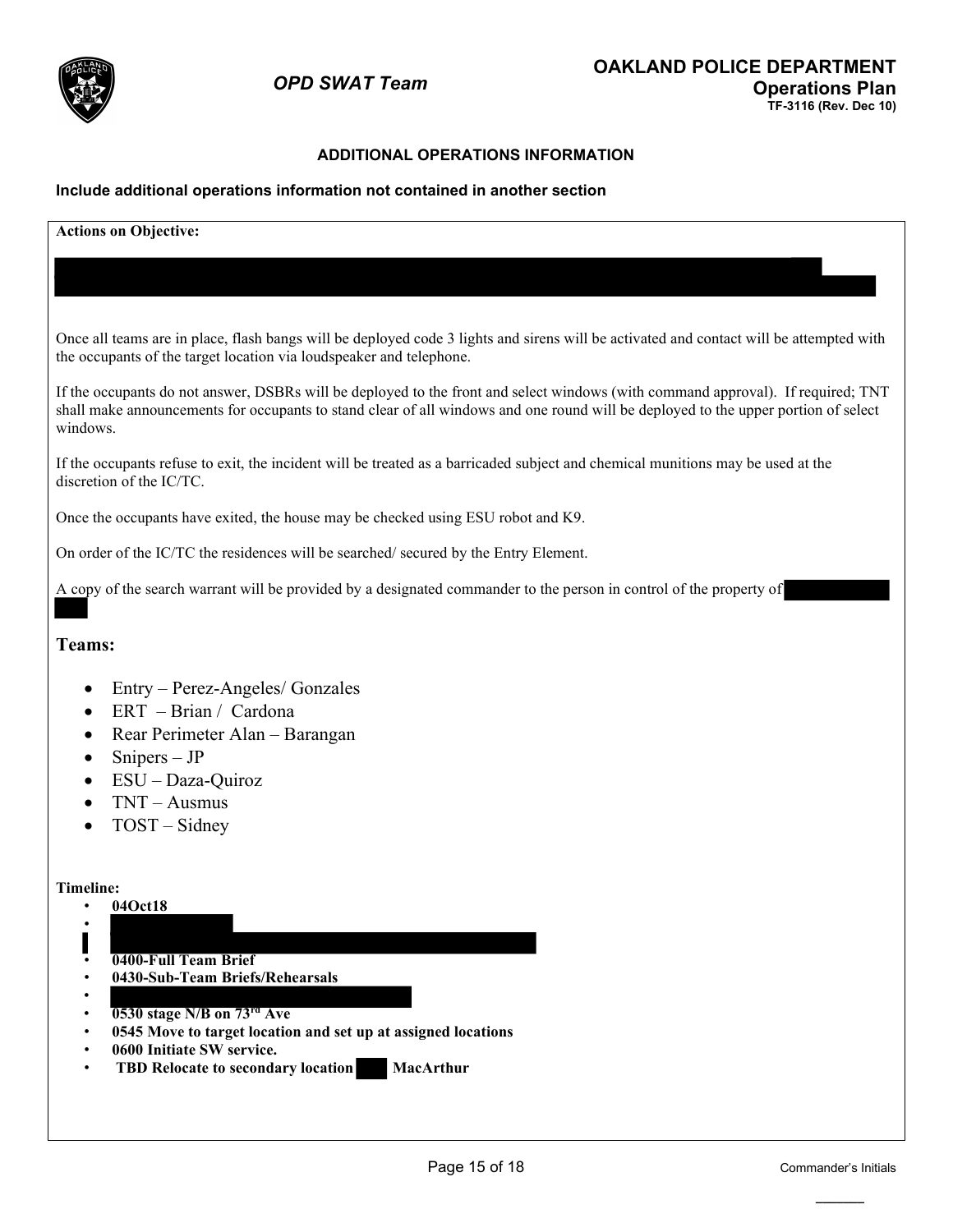

## **ADDITIONAL OPERATIONS INFORMATION**

#### **Include additional operations information not contained in another section**

**Actions on Objective:** Once all teams are in place, flash bangs will be deployed code 3 lights and sirens will be activated and contact will be attempted with the occupants of the target location via loudspeaker and telephone. If the occupants do not answer, DSBRs will be deployed to the front and select windows (with command approval). If required; TNT shall make announcements for occupants to stand clear of all windows and one round will be deployed to the upper portion of select windows. If the occupants refuse to exit, the incident will be treated as a barricaded subject and chemical munitions may be used at the discretion of the IC/TC. Once the occupants have exited, the house may be checked using ESU robot and K9. On order of the IC/TC the residences will be searched/ secured by the Entry Element. A copy of the search warrant will be provided by a designated commander to the person in control of the property of **Teams:**  • Entry – Perez-Angeles/ Gonzales • ERT – Brian / Cardona • Rear Perimeter Alan – Barangan • Snipers – JP • ESU – Daza-Quiroz • TNT – Ausmus • TOST – Sidney **Timeline:** • **04Oct18** • • **0400-Full Team Brief** • **0430-Sub-Team Briefs/Rehearsals** • • **0530 stage N/B on 73rd Ave**  • **0545 Move to target location and set up at assigned locations**  • **0600 Initiate SW service. TBD Relocate to secondary location MacArthur**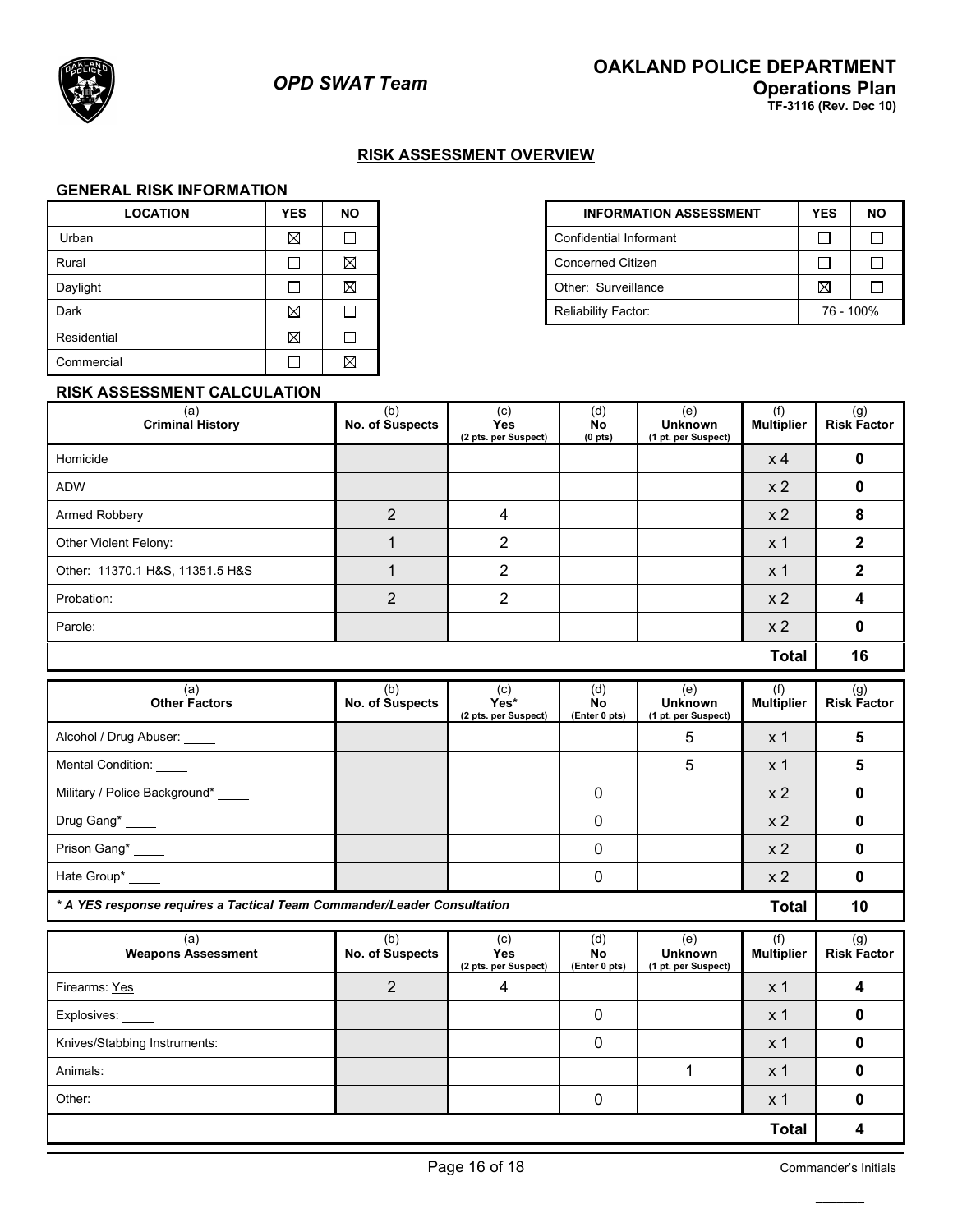

## **RISK ASSESSMENT OVERVIEW**

#### **GENERAL RISK INFORMATION**

| <b>LOCATION</b> | <b>YES</b>  | <b>NO</b>   | <b>INFORMATION</b>            |
|-----------------|-------------|-------------|-------------------------------|
| Urban           | $\boxtimes$ |             | <b>Confidential Informant</b> |
| Rural           |             | ⊠           | <b>Concerned Citizen</b>      |
| Daylight        |             | $\boxtimes$ | Other: Surveillance           |
| Dark            | $\boxtimes$ |             | <b>Reliability Factor:</b>    |
| Residential     | ⊠           |             |                               |
| Commercial      |             | $\boxtimes$ |                               |

| <b>LOCATION</b> | <b>YES</b>  | NO. |  | <b>INFORMATION ASSESSMENT</b> | <b>YES</b>  | <b>NO</b> |
|-----------------|-------------|-----|--|-------------------------------|-------------|-----------|
| Urban           | $\boxtimes$ |     |  |                               |             |           |
| Rural           |             | ⊠   |  | <b>Concerned Citizen</b>      |             |           |
| Daylight        |             | ⊠   |  | Other: Surveillance           | $\boxtimes$ |           |
| Dark            | ⊠           |     |  | <b>Reliability Factor:</b>    | 76 - 100%   |           |

#### **RISK ASSESSMENT CALCULATION**

| (a)<br><b>Criminal History</b>  | (b)<br>No. of Suspects | (c)<br><b>Yes</b><br>(2 pts. per Suspect) | (d)<br>No<br>(0 <sub>pts</sub> ) | (e)<br><b>Unknown</b><br>(1 pt. per Suspect) | (f)<br><b>Multiplier</b> | (g)<br><b>Risk Factor</b> |
|---------------------------------|------------------------|-------------------------------------------|----------------------------------|----------------------------------------------|--------------------------|---------------------------|
| Homicide                        |                        |                                           |                                  |                                              | $x$ 4                    |                           |
| <b>ADW</b>                      |                        |                                           |                                  |                                              | x <sub>2</sub>           |                           |
| Armed Robbery                   | $\overline{2}$         | 4                                         |                                  |                                              | x <sub>2</sub>           | 8                         |
| Other Violent Felony:           |                        | 2                                         |                                  |                                              | x 1                      |                           |
| Other: 11370.1 H&S, 11351.5 H&S |                        | $\mathcal{P}$                             |                                  |                                              | x <sub>1</sub>           |                           |
| Probation:                      | $\overline{2}$         | 2                                         |                                  |                                              | x <sub>2</sub>           |                           |
| Parole:                         |                        |                                           |                                  |                                              | x <sub>2</sub>           |                           |
|                                 |                        |                                           |                                  |                                              | <b>Total</b>             | 16                        |

| (a)<br><b>Other Factors</b>                                                      | (b)<br>No. of Suspects        | (c)<br>Yes*<br>(2 pts. per Suspect)       | (d)<br>No<br>(Enter 0 pts) | (e)<br><b>Unknown</b><br>(1 pt. per Suspect) | (f)<br><b>Multiplier</b> | (g)<br><b>Risk Factor</b> |
|----------------------------------------------------------------------------------|-------------------------------|-------------------------------------------|----------------------------|----------------------------------------------|--------------------------|---------------------------|
| Alcohol / Drug Abuser: _____                                                     |                               |                                           |                            | 5                                            | x <sub>1</sub>           | 5                         |
| Mental Condition: _____                                                          |                               |                                           |                            | 5                                            | x <sub>1</sub>           | 5                         |
| Military / Police Background* ____                                               |                               |                                           | 0                          |                                              | x <sub>2</sub>           | 0                         |
| Drug Gang*                                                                       |                               |                                           |                            |                                              | x <sub>2</sub>           | 0                         |
| Prison Gang*                                                                     |                               |                                           | 0                          |                                              | x <sub>2</sub>           | 0                         |
| Hate Group*                                                                      |                               |                                           |                            |                                              | x <sub>2</sub>           |                           |
| * A YES response requires a Tactical Team Commander/Leader Consultation<br>Total |                               |                                           |                            |                                              |                          | 10                        |
| (a)<br><b>Weapons Assessment</b>                                                 | (b)<br><b>No. of Suspects</b> | (c)<br><b>Yes</b><br>(2 pts. per Suspect) | (d)<br>No<br>(Enter 0 pts) | (e)<br><b>Unknown</b><br>(1 pt. per Suspect) | (f)<br><b>Multiplier</b> | (g)<br><b>Risk Factor</b> |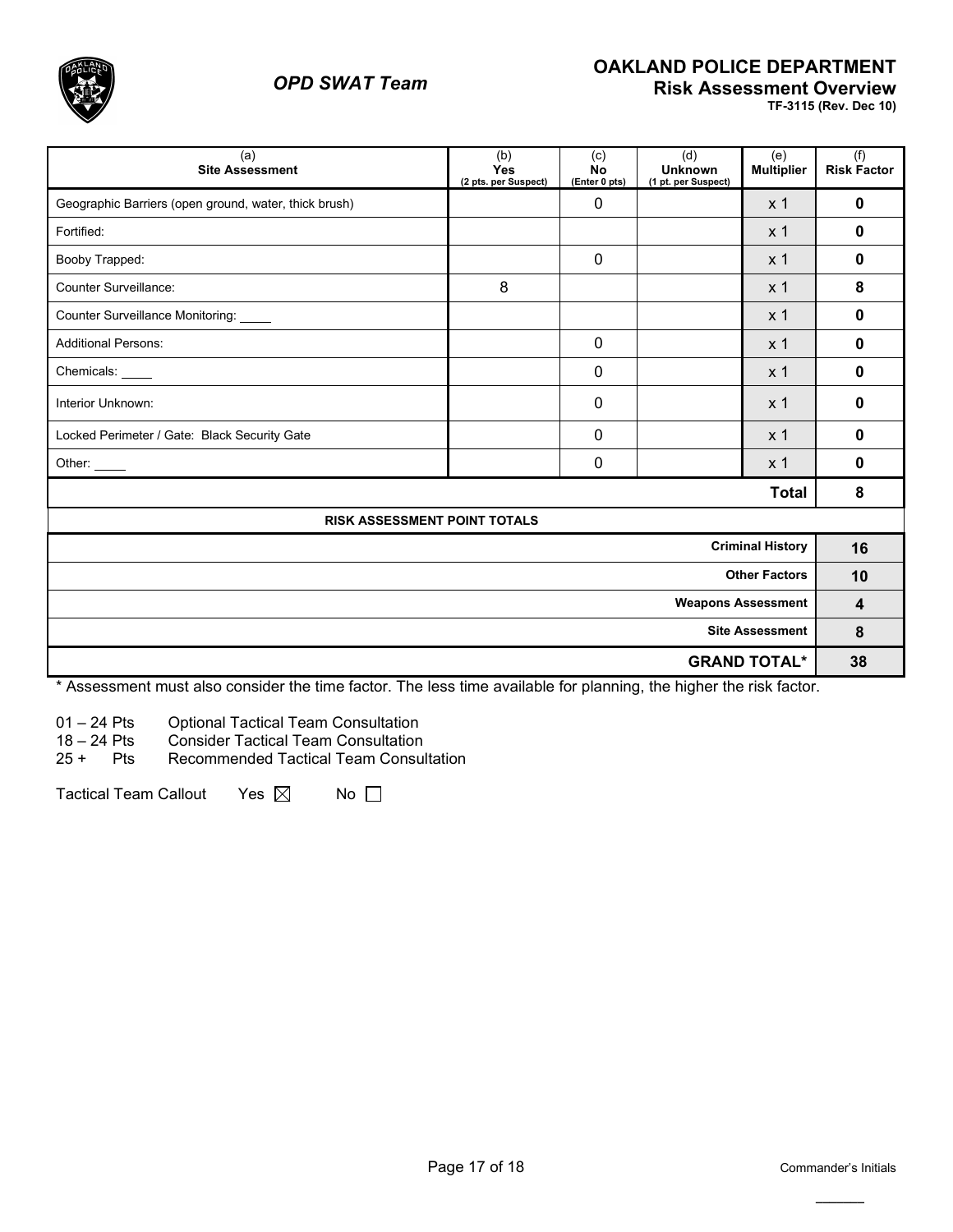

# *OPD SWAT Team*

## **OAKLAND POLICE DEPARTMENT Risk Assessment Overview**

**TF-3115 (Rev. Dec 10)**

| (a)<br><b>Site Assessment</b>                         | (b)<br>Yes<br>(2 pts. per Suspect) | (c)<br><b>No</b><br>(Enter 0 pts) | (d)<br><b>Unknown</b><br>(1 pt. per Suspect) | (e)<br><b>Multiplier</b> | (f)<br><b>Risk Factor</b> |
|-------------------------------------------------------|------------------------------------|-----------------------------------|----------------------------------------------|--------------------------|---------------------------|
| Geographic Barriers (open ground, water, thick brush) |                                    | $\mathbf{0}$                      |                                              | x <sub>1</sub>           | 0                         |
| Fortified:                                            |                                    |                                   |                                              | x <sub>1</sub>           | 0                         |
| Booby Trapped:                                        |                                    | $\mathbf{0}$                      |                                              | x <sub>1</sub>           | 0                         |
| Counter Surveillance:                                 | 8                                  |                                   |                                              | x <sub>1</sub>           | 8                         |
| Counter Surveillance Monitoring: _____                |                                    |                                   |                                              | x <sub>1</sub>           | 0                         |
| <b>Additional Persons:</b>                            |                                    | $\Omega$                          |                                              | x <sub>1</sub>           | $\bf{0}$                  |
| Chemicals:                                            |                                    | $\Omega$                          |                                              | x <sub>1</sub>           | 0                         |
| Interior Unknown:                                     |                                    | 0                                 |                                              | x <sub>1</sub>           | $\bf{0}$                  |
| Locked Perimeter / Gate: Black Security Gate          |                                    | $\Omega$                          |                                              | x <sub>1</sub>           | 0                         |
| Other: $\_\_$                                         |                                    | 0                                 |                                              | x <sub>1</sub>           | 0                         |
| <b>Total</b>                                          |                                    |                                   |                                              |                          |                           |
| RISK ASSESSMENT POINT TOTALS                          |                                    |                                   |                                              |                          |                           |
| <b>Criminal History</b>                               |                                    |                                   |                                              |                          | 16                        |
| <b>Other Factors</b>                                  |                                    |                                   |                                              |                          | 10                        |
| <b>Weapons Assessment</b>                             |                                    |                                   |                                              |                          | $\overline{\mathbf{4}}$   |
| <b>Site Assessment</b>                                |                                    |                                   |                                              |                          | 8                         |
| <b>GRAND TOTAL*</b>                                   |                                    |                                   |                                              |                          | 38                        |

\* Assessment must also consider the time factor. The less time available for planning, the higher the risk factor.

01 – 24 Pts Optional Tactical Team Consultation

18 – 24 Pts Consider Tactical Team Consultation

25 + Pts Recommended Tactical Team Consultation

Tactical Team Callout Yes  $\boxtimes$  No  $\Box$